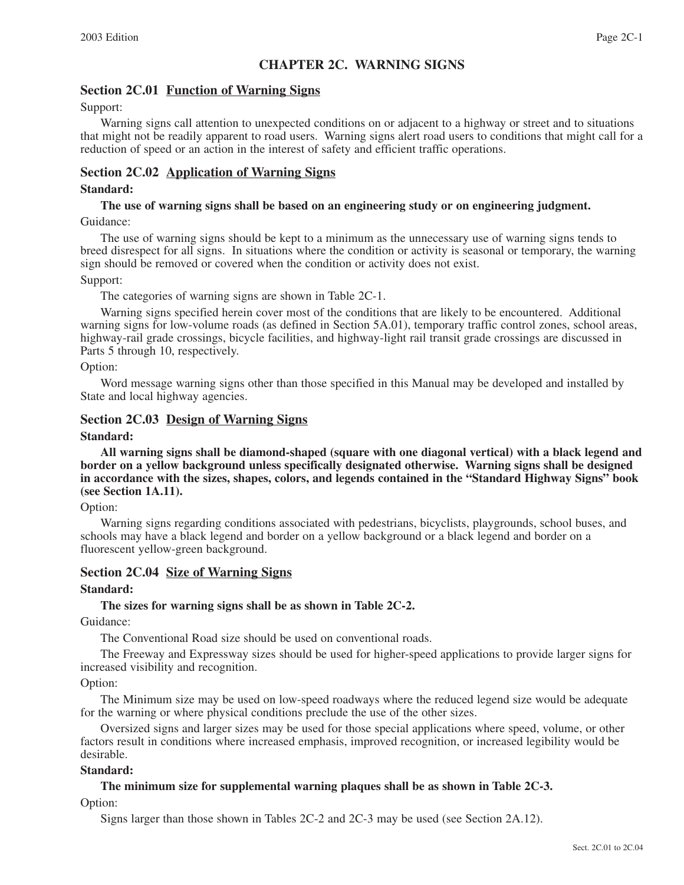# **CHAPTER 2C. WARNING SIGNS**

# **Section 2C.01 Function of Warning Signs**

#### Support:

Warning signs call attention to unexpected conditions on or adjacent to a highway or street and to situations that might not be readily apparent to road users. Warning signs alert road users to conditions that might call for a reduction of speed or an action in the interest of safety and efficient traffic operations.

### **Section 2C.02 Application of Warning Signs**

#### **Standard:**

# **The use of warning signs shall be based on an engineering study or on engineering judgment.**

Guidance:

The use of warning signs should be kept to a minimum as the unnecessary use of warning signs tends to breed disrespect for all signs. In situations where the condition or activity is seasonal or temporary, the warning sign should be removed or covered when the condition or activity does not exist.

#### Support:

The categories of warning signs are shown in Table 2C-1.

Warning signs specified herein cover most of the conditions that are likely to be encountered. Additional warning signs for low-volume roads (as defined in Section 5A.01), temporary traffic control zones, school areas, highway-rail grade crossings, bicycle facilities, and highway-light rail transit grade crossings are discussed in Parts 5 through 10, respectively.

#### Option:

Word message warning signs other than those specified in this Manual may be developed and installed by State and local highway agencies.

#### **Section 2C.03 Design of Warning Signs**

#### **Standard:**

**All warning signs shall be diamond-shaped (square with one diagonal vertical) with a black legend and border on a yellow background unless specifically designated otherwise. Warning signs shall be designed in accordance with the sizes, shapes, colors, and legends contained in the "Standard Highway Signs" book (see Section 1A.11).**

Option:

Warning signs regarding conditions associated with pedestrians, bicyclists, playgrounds, school buses, and schools may have a black legend and border on a yellow background or a black legend and border on a fluorescent yellow-green background.

#### **Section 2C.04 Size of Warning Signs**

#### **Standard:**

#### **The sizes for warning signs shall be as shown in Table 2C-2.**

Guidance:

The Conventional Road size should be used on conventional roads.

The Freeway and Expressway sizes should be used for higher-speed applications to provide larger signs for increased visibility and recognition.

#### Option:

The Minimum size may be used on low-speed roadways where the reduced legend size would be adequate for the warning or where physical conditions preclude the use of the other sizes.

Oversized signs and larger sizes may be used for those special applications where speed, volume, or other factors result in conditions where increased emphasis, improved recognition, or increased legibility would be desirable.

#### **Standard:**

#### **The minimum size for supplemental warning plaques shall be as shown in Table 2C-3.**

Option:

Signs larger than those shown in Tables 2C-2 and 2C-3 may be used (see Section 2A.12).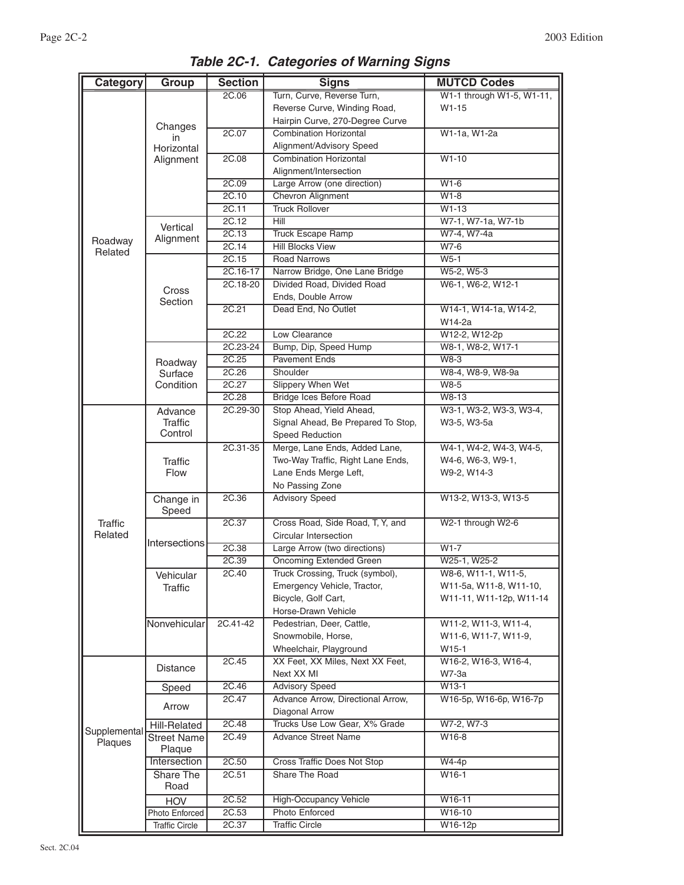| Category<br>Group |                              | <b>Section</b>    | <b>Signs</b>                                               | <b>MUTCD Codes</b>                     |  |  |
|-------------------|------------------------------|-------------------|------------------------------------------------------------|----------------------------------------|--|--|
|                   |                              | 2C.06             | Turn, Curve, Reverse Turn,                                 | W1-1 through W1-5, W1-11,              |  |  |
|                   |                              |                   | Reverse Curve, Winding Road,                               | $W1-15$                                |  |  |
|                   |                              |                   | Hairpin Curve, 270-Degree Curve                            |                                        |  |  |
|                   | Changes<br>in                | 2C.07             | <b>Combination Horizontal</b>                              | W1-1a, W1-2a                           |  |  |
|                   | Horizontal                   |                   | Alignment/Advisory Speed                                   |                                        |  |  |
|                   | Alignment                    | 2C.08             | <b>Combination Horizontal</b>                              | $W1-10$                                |  |  |
|                   |                              |                   | Alignment/Intersection                                     |                                        |  |  |
|                   |                              | 2C.09             | Large Arrow (one direction)                                | $W1-6$                                 |  |  |
|                   |                              | 2C.10             | Chevron Alignment                                          | $W1-8$                                 |  |  |
|                   |                              | 2C.11             | <b>Truck Rollover</b>                                      | $W1-13$                                |  |  |
|                   | Vertical                     | 2C.12             | Hill                                                       | W7-1, W7-1a, W7-1b                     |  |  |
| Roadway           | Alignment                    | 2C.13             | <b>Truck Escape Ramp</b>                                   | W7-4, W7-4a                            |  |  |
| Related           |                              | 2C.14             | <b>Hill Blocks View</b>                                    | W7-6                                   |  |  |
|                   |                              | 2C.15             | <b>Road Narrows</b>                                        | $W5-1$                                 |  |  |
|                   |                              | 2C.16-17          | Narrow Bridge, One Lane Bridge                             | W5-2, W5-3                             |  |  |
|                   | Cross                        | 2C.18-20          | Divided Road, Divided Road                                 | W6-1, W6-2, W12-1                      |  |  |
|                   | Section                      |                   | Ends, Double Arrow                                         |                                        |  |  |
|                   |                              | 2C.21             | Dead End, No Outlet                                        | W14-1, W14-1a, W14-2,                  |  |  |
|                   |                              |                   |                                                            | W14-2a                                 |  |  |
|                   |                              | 2C.22             | Low Clearance                                              | W12-2, W12-2p                          |  |  |
|                   |                              | 2C.23-24          | Bump, Dip, Speed Hump                                      | W8-1, W8-2, W17-1                      |  |  |
|                   | Roadway                      | 2C.25             | <b>Pavement Ends</b>                                       | $W8-3$                                 |  |  |
|                   | Surface                      | 2C.26             | Shoulder                                                   | W8-4, W8-9, W8-9a                      |  |  |
|                   | Condition                    | 2C.27             | <b>Slippery When Wet</b>                                   | $W8-5$                                 |  |  |
|                   |                              | 2C.28<br>2C.29-30 | <b>Bridge Ices Before Road</b><br>Stop Ahead, Yield Ahead, | W8-13                                  |  |  |
|                   | Advance<br><b>Traffic</b>    |                   | Signal Ahead, Be Prepared To Stop,                         | W3-1, W3-2, W3-3, W3-4,<br>W3-5, W3-5a |  |  |
|                   | Control                      |                   | Speed Reduction                                            |                                        |  |  |
|                   |                              | 2C.31-35          | Merge, Lane Ends, Added Lane,                              | W4-1, W4-2, W4-3, W4-5,                |  |  |
|                   | <b>Traffic</b>               |                   | Two-Way Traffic, Right Lane Ends,                          | W4-6, W6-3, W9-1,                      |  |  |
|                   | <b>Flow</b>                  |                   | Lane Ends Merge Left,                                      | W9-2, W14-3                            |  |  |
|                   |                              |                   | No Passing Zone                                            |                                        |  |  |
|                   | Change in                    | 2C.36             | <b>Advisory Speed</b>                                      | W13-2, W13-3, W13-5                    |  |  |
|                   | Speed                        |                   |                                                            |                                        |  |  |
| <b>Traffic</b>    |                              | 2C.37             | Cross Road, Side Road, T, Y, and                           | W2-1 through W2-6                      |  |  |
| Related           |                              |                   | Circular Intersection                                      |                                        |  |  |
|                   | Intersections                | 2C.38             | Large Arrow (two directions)                               | $W1-7$                                 |  |  |
|                   |                              | 2C.39             | <b>Oncoming Extended Green</b>                             | W25-1, W25-2                           |  |  |
|                   | Vehicular                    | 2C.40             | Truck Crossing, Truck (symbol),                            | W8-6, W11-1, W11-5,                    |  |  |
|                   | Traffic                      |                   | Emergency Vehicle, Tractor,                                | W11-5a, W11-8, W11-10,                 |  |  |
|                   |                              |                   | Bicycle, Golf Cart,                                        | W11-11, W11-12p, W11-14                |  |  |
|                   |                              |                   | Horse-Drawn Vehicle                                        |                                        |  |  |
|                   | Nonvehicular                 | 2C.41-42          | Pedestrian, Deer, Cattle,                                  | W11-2, W11-3, W11-4,                   |  |  |
|                   |                              |                   | Snowmobile, Horse,                                         | W11-6, W11-7, W11-9,                   |  |  |
|                   |                              |                   | Wheelchair, Playground                                     | W15-1                                  |  |  |
|                   | <b>Distance</b>              | 2C.45             | XX Feet, XX Miles, Next XX Feet,                           | W16-2, W16-3, W16-4,                   |  |  |
|                   |                              |                   | Next XX MI                                                 | W7-3a                                  |  |  |
|                   | Speed                        | 2C.46             | <b>Advisory Speed</b>                                      | $W13-1$                                |  |  |
|                   | Arrow                        | 2C.47             | Advance Arrow, Directional Arrow,                          | W16-5p, W16-6p, W16-7p                 |  |  |
|                   |                              |                   | Diagonal Arrow                                             |                                        |  |  |
| Supplemental      | Hill-Related                 | 2C.48             | Trucks Use Low Gear, X% Grade                              | W7-2, W7-3                             |  |  |
| Plaques           | <b>Street Name</b><br>Plaque | 2C.49             | <b>Advance Street Name</b>                                 | W16-8                                  |  |  |
|                   | Intersection                 | 2C.50             | <b>Cross Traffic Does Not Stop</b>                         | W4-4p                                  |  |  |
|                   | Share The                    | 2C.51             | Share The Road                                             | W16-1                                  |  |  |
|                   | Road                         |                   |                                                            |                                        |  |  |
|                   | HOV                          | 2C.52             | <b>High-Occupancy Vehicle</b>                              | W16-11                                 |  |  |
|                   | Photo Enforced               | 2C.53             | <b>Photo Enforced</b>                                      | W16-10                                 |  |  |
|                   | Traffic Circle               | 2C.37             | <b>Traffic Circle</b>                                      | W16-12p                                |  |  |
|                   |                              |                   |                                                            |                                        |  |  |

*Table 2C-1. Categories of Warning Signs*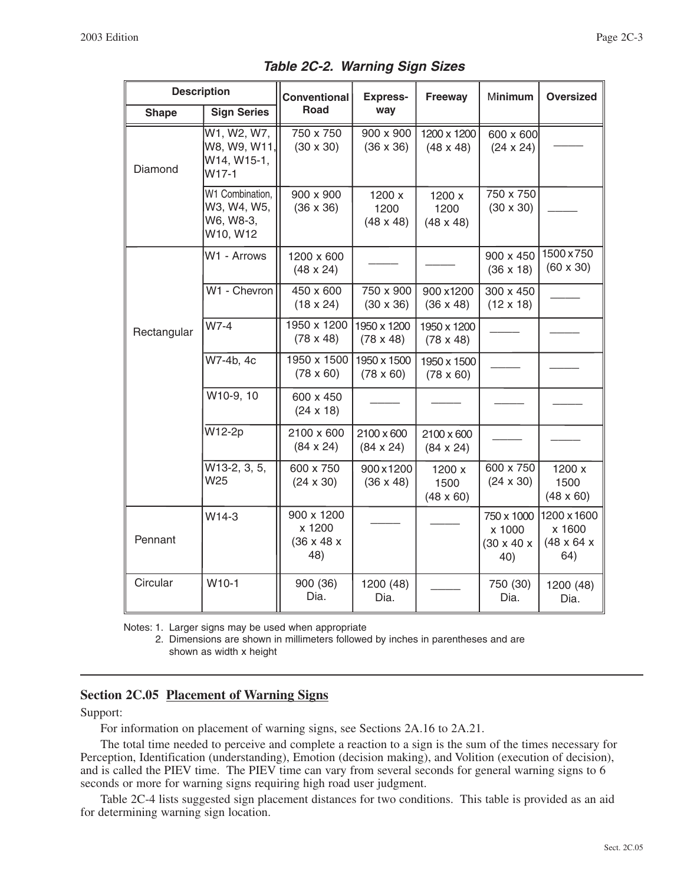|              | <b>Description</b>                                      | <b>Conventional</b>                                   | <b>Express-</b>                    | Freeway                            | Minimum                                               | <b>Oversized</b>                                       |  |
|--------------|---------------------------------------------------------|-------------------------------------------------------|------------------------------------|------------------------------------|-------------------------------------------------------|--------------------------------------------------------|--|
| <b>Shape</b> | <b>Sign Series</b>                                      | Road                                                  | way                                |                                    |                                                       |                                                        |  |
| Diamond      | W1, W2, W7,<br>W8, W9, W11,<br>W14, W15-1,<br>$W17-1$   | 750 x 750<br>$(30 \times 30)$                         | 900 x 900<br>$(36 \times 36)$      | 1200 x 1200<br>$(48 \times 48)$    | 600 x 600<br>$(24 \times 24)$                         |                                                        |  |
|              | W1 Combination,<br>W3, W4, W5,<br>W6, W8-3,<br>W10, W12 | 900 x 900<br>$(36 \times 36)$                         | 1200 x<br>1200<br>$(48 \times 48)$ | 1200 x<br>1200<br>$(48 \times 48)$ | 750 x 750<br>$(30 \times 30)$                         |                                                        |  |
|              | W1 - Arrows                                             | 1200 x 600<br>$(48 \times 24)$                        |                                    |                                    | 900 x 450<br>$(36 \times 18)$                         | 1500 x 750<br>$(60 \times 30)$                         |  |
|              | W1 - Chevron                                            | 450 x 600<br>$(18 \times 24)$                         | 750 x 900<br>$(30 \times 36)$      | 900 x1200<br>$(36 \times 48)$      | 300 x 450<br>$(12 \times 18)$                         |                                                        |  |
| Rectangular  | W7-4                                                    | 1950 x 1200<br>$(78 \times 48)$                       | 1950 x 1200<br>$(78 \times 48)$    | 1950 x 1200<br>$(78 \times 48)$    |                                                       |                                                        |  |
|              | W7-4b, 4c                                               | 1950 x 1500<br>$(78 \times 60)$                       | 1950 x 1500<br>$(78 \times 60)$    | 1950 x 1500<br>$(78 \times 60)$    |                                                       |                                                        |  |
|              | W10-9, 10                                               | 600 x 450<br>$(24 \times 18)$                         |                                    |                                    |                                                       |                                                        |  |
|              | W12-2p                                                  | 2100 x 600<br>$(84 \times 24)$                        | 2100 x 600<br>$(84 \times 24)$     | 2100 x 600<br>$(84 \times 24)$     |                                                       |                                                        |  |
|              | $W13-2, 3, 5,$<br>W <sub>25</sub>                       | 600 x 750<br>$(24 \times 30)$                         | 900x1200<br>$(36 \times 48)$       | 1200 x<br>1500<br>$(48 \times 60)$ | 600 x 750<br>$(24 \times 30)$                         | 1200 x<br>1500<br>$(48 \times 60)$                     |  |
| Pennant      | W14-3                                                   | 900 x 1200<br>x 1200<br>$(36 \times 48 \times$<br>48) |                                    |                                    | 750 x 1000<br>x 1000<br>$(30 \times 40 \times$<br>40) | 1200 x 1600<br>x 1600<br>$(48 \times 64 \times$<br>64) |  |
| Circular     | W <sub>10-1</sub>                                       | 900 (36)<br>Dia.                                      | 1200 (48)<br>Dia.                  |                                    | 750 (30)<br>Dia.                                      | 1200 (48)<br>Dia.                                      |  |

*Table 2C-2. Warning Sign Sizes*

Notes: 1. Larger signs may be used when appropriate

2. Dimensions are shown in millimeters followed by inches in parentheses and are shown as width x height

# **Section 2C.05 Placement of Warning Signs**

#### Support:

For information on placement of warning signs, see Sections 2A.16 to 2A.21.

The total time needed to perceive and complete a reaction to a sign is the sum of the times necessary for Perception, Identification (understanding), Emotion (decision making), and Volition (execution of decision), and is called the PIEV time. The PIEV time can vary from several seconds for general warning signs to 6 seconds or more for warning signs requiring high road user judgment.

Table 2C-4 lists suggested sign placement distances for two conditions. This table is provided as an aid for determining warning sign location.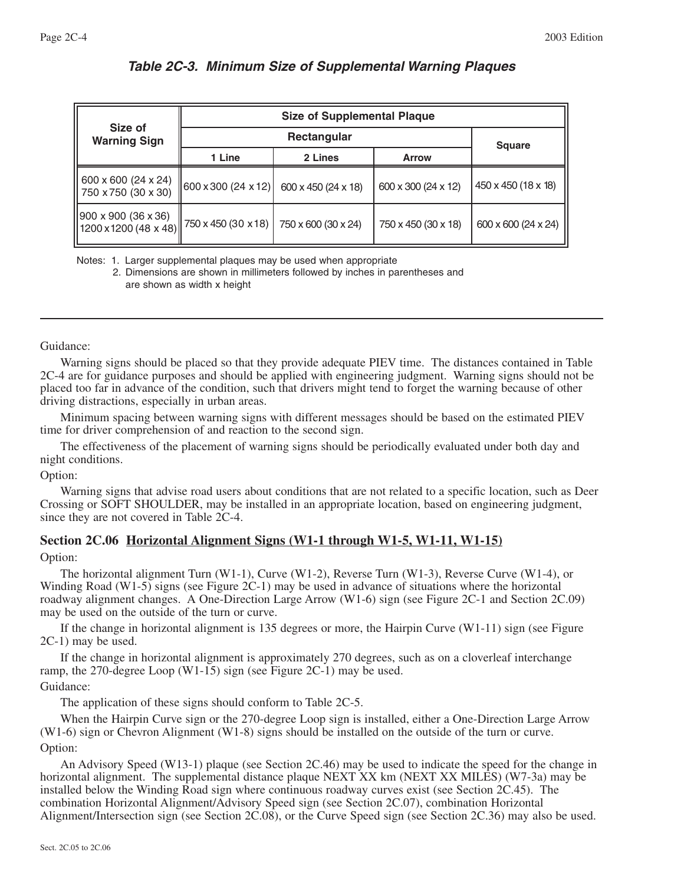|                                                                              | <b>Size of Supplemental Plaque</b> |                         |                     |                     |  |  |  |
|------------------------------------------------------------------------------|------------------------------------|-------------------------|---------------------|---------------------|--|--|--|
| Size of<br><b>Warning Sign</b>                                               |                                    | <b>Square</b>           |                     |                     |  |  |  |
|                                                                              | 1 Line                             | 2 Lines<br><b>Arrow</b> |                     |                     |  |  |  |
| 600 x 600 (24 x 24)<br>750 x 750 (30 x 30)                                   | 600 x 300 (24 x 12)                | 600 x 450 (24 x 18)     | 600 x 300 (24 x 12) | 450 x 450 (18 x 18) |  |  |  |
| 900 x 900 (36 x 36)<br>$1200 \times 1200 (48 \times 48)$ 750 x 450 (30 x 18) |                                    | 750 x 600 (30 x 24)     | 750 x 450 (30 x 18) | 600 x 600 (24 x 24) |  |  |  |

# *Table 2C-3. Minimum Size of Supplemental Warning Plaques*

Notes: 1. Larger supplemental plaques may be used when appropriate 2. Dimensions are shown in millimeters followed by inches in parentheses and are shown as width x height

Guidance:

Warning signs should be placed so that they provide adequate PIEV time. The distances contained in Table 2C-4 are for guidance purposes and should be applied with engineering judgment. Warning signs should not be placed too far in advance of the condition, such that drivers might tend to forget the warning because of other driving distractions, especially in urban areas.

Minimum spacing between warning signs with different messages should be based on the estimated PIEV time for driver comprehension of and reaction to the second sign.

The effectiveness of the placement of warning signs should be periodically evaluated under both day and night conditions.

Option:

Warning signs that advise road users about conditions that are not related to a specific location, such as Deer Crossing or SOFT SHOULDER, may be installed in an appropriate location, based on engineering judgment, since they are not covered in Table 2C-4.

# **Section 2C.06 Horizontal Alignment Signs (W1-1 through W1-5, W1-11, W1-15)**

Option:

The horizontal alignment Turn (W1-1), Curve (W1-2), Reverse Turn (W1-3), Reverse Curve (W1-4), or Winding Road (W1-5) signs (see Figure 2C-1) may be used in advance of situations where the horizontal roadway alignment changes. A One-Direction Large Arrow (W1-6) sign (see Figure 2C-1 and Section 2C.09) may be used on the outside of the turn or curve.

If the change in horizontal alignment is 135 degrees or more, the Hairpin Curve (W1-11) sign (see Figure 2C-1) may be used.

If the change in horizontal alignment is approximately 270 degrees, such as on a cloverleaf interchange ramp, the 270-degree Loop (W1-15) sign (see Figure 2C-1) may be used. Guidance:

The application of these signs should conform to Table 2C-5.

When the Hairpin Curve sign or the 270-degree Loop sign is installed, either a One-Direction Large Arrow (W1-6) sign or Chevron Alignment (W1-8) signs should be installed on the outside of the turn or curve. Option:

An Advisory Speed (W13-1) plaque (see Section 2C.46) may be used to indicate the speed for the change in horizontal alignment. The supplemental distance plaque NEXT XX km (NEXT XX MILES) (W7-3a) may be installed below the Winding Road sign where continuous roadway curves exist (see Section 2C.45). The combination Horizontal Alignment/Advisory Speed sign (see Section 2C.07), combination Horizontal Alignment/Intersection sign (see Section 2C.08), or the Curve Speed sign (see Section 2C.36) may also be used.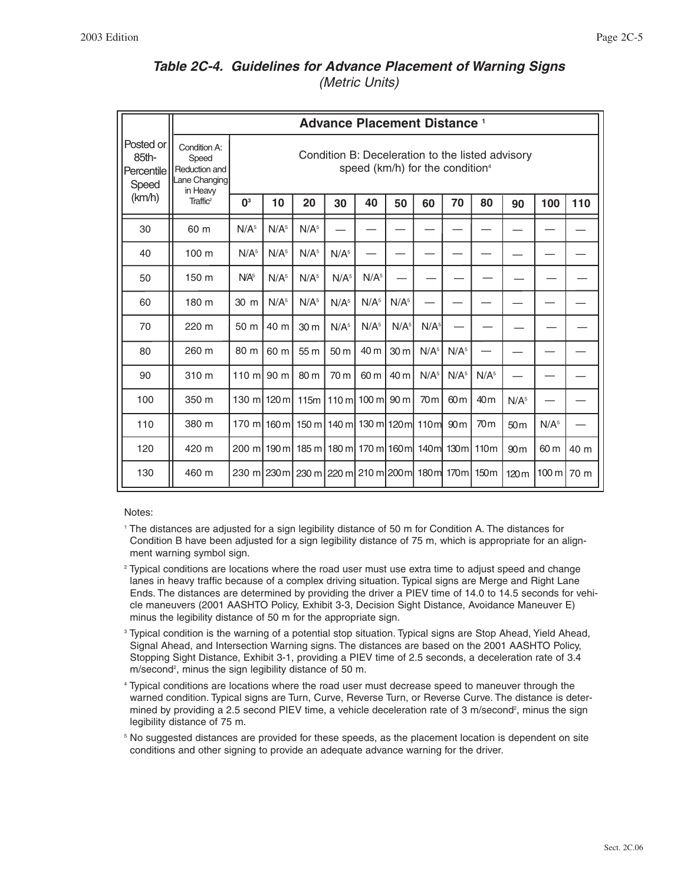# *Table 2C-4. Guidelines for Advance Placement of Warning Signs*

*(Metric Units)*

|                                           |                                                                     |                                                                                                 |                  |                                                               | <b>Advance Placement Distance 1</b> |                    |                  |                  |                  |                  |                  |                  |      |
|-------------------------------------------|---------------------------------------------------------------------|-------------------------------------------------------------------------------------------------|------------------|---------------------------------------------------------------|-------------------------------------|--------------------|------------------|------------------|------------------|------------------|------------------|------------------|------|
| Posted or<br>85th-<br>Percentile<br>Speed | Condition A:<br>Speed<br>Reduction and<br>Lane Changing<br>in Heavy | Condition B: Deceleration to the listed advisory<br>speed (km/h) for the condition <sup>4</sup> |                  |                                                               |                                     |                    |                  |                  |                  |                  |                  |                  |      |
| (km/h)                                    | Traffic <sup>2</sup>                                                | $\mathbf{0}^3$                                                                                  | 10               | 20                                                            | 30                                  | 40                 | 50               | 60               | 70               | 80               | 90               | 100              | 110  |
| 30                                        | 60 m                                                                | N/A <sup>5</sup>                                                                                | N/A <sup>5</sup> | N/A <sup>5</sup>                                              |                                     |                    |                  |                  |                  |                  |                  |                  |      |
| 40                                        | 100 <sub>m</sub>                                                    | N/A <sup>5</sup>                                                                                | N/A <sup>5</sup> | N/A <sup>5</sup>                                              | N/A <sup>5</sup>                    |                    |                  |                  |                  |                  |                  |                  |      |
| 50                                        | 150 m                                                               | N/A <sup>5</sup>                                                                                | N/A <sup>5</sup> | N/A <sup>5</sup>                                              | N/A <sup>5</sup>                    | N/A <sup>5</sup>   |                  |                  |                  |                  |                  |                  |      |
| 60                                        | 180 m                                                               | 30 m                                                                                            | N/A <sup>5</sup> | N/A <sup>5</sup>                                              | N/A <sup>5</sup>                    | N/A <sup>5</sup>   | N/A <sup>5</sup> |                  |                  |                  |                  |                  |      |
| 70                                        | 220 m                                                               | 50 m                                                                                            | 40 m             | 30 <sub>m</sub>                                               | N/A <sup>5</sup>                    | N/A <sup>5</sup>   | N/A <sup>5</sup> | N/A <sup>5</sup> |                  |                  |                  |                  |      |
| 80                                        | 260 m                                                               | 80 m                                                                                            | 60 m             | 55 m                                                          | 50 m                                | 40 m               | 30 <sub>m</sub>  | N/A <sup>5</sup> | N/A <sup>5</sup> |                  |                  |                  |      |
| 90                                        | 310 m                                                               | $110 \text{ m}$                                                                                 | $90 \text{ m}$   | 80 m                                                          | 70 m                                | 60 m               | 40 m             | N/A <sup>5</sup> | N/A <sup>5</sup> | N/A <sup>5</sup> |                  |                  |      |
| 100                                       | 350 m                                                               | 130 ml 120 ml                                                                                   |                  | 115m                                                          |                                     | 110 ml 100 ml 90 m |                  | 70 <sub>m</sub>  | 60 <sub>m</sub>  | 40 <sub>m</sub>  | N/A <sup>5</sup> |                  |      |
| 110                                       | 380 m                                                               |                                                                                                 |                  | 170 m 160 m 150 m 140 m 130 m 120 m 110 m                     |                                     |                    |                  |                  | 90 <sub>m</sub>  | 70 <sub>m</sub>  | 50 <sub>m</sub>  | N/A <sup>5</sup> |      |
| 120                                       | 420 m                                                               |                                                                                                 |                  | 200 m  190 m  185 m  180 m  170 m  160 m  140 m  130 m  110 m |                                     |                    |                  |                  |                  |                  | 90 <sub>m</sub>  | 60 m             | 40 m |
| 130                                       | 460 m                                                               |                                                                                                 |                  | 230 m 230 m 230 m 220 m 210 m 200 m 180 m 170 m 150 m         |                                     |                    |                  |                  |                  |                  | 120 <sub>m</sub> | 100 m   70 m     |      |

#### Notes:

- <sup>1</sup> The distances are adjusted for a sign legibility distance of 50 m for Condition A. The distances for Condition B have been adjusted for a sign legibility distance of 75 m, which is appropriate for an alignment warning symbol sign.
- <sup>2</sup> Typical conditions are locations where the road user must use extra time to adjust speed and change lanes in heavy traffic because of a complex driving situation. Typical signs are Merge and Right Lane Ends. The distances are determined by providing the driver a PIEV time of 14.0 to 14.5 seconds for vehicle maneuvers (2001 AASHTO Policy, Exhibit 3-3, Decision Sight Distance, Avoidance Maneuver E) minus the legibility distance of 50 m for the appropriate sign.
- <sup>3</sup> Typical condition is the warning of a potential stop situation. Typical signs are Stop Ahead, Yield Ahead, Signal Ahead, and Intersection Warning signs. The distances are based on the 2001 AASHTO Policy, Stopping Sight Distance, Exhibit 3-1, providing a PIEV time of 2.5 seconds, a deceleration rate of 3.4 m/second<sup>2</sup>, minus the sign legibility distance of 50 m.
- <sup>4</sup> Typical conditions are locations where the road user must decrease speed to maneuver through the warned condition. Typical signs are Turn, Curve, Reverse Turn, or Reverse Curve. The distance is determined by providing a 2.5 second PIEV time, a vehicle deceleration rate of 3 m/second<sup>2</sup>, minus the sign legibility distance of 75 m.
- <sup>5</sup> No suggested distances are provided for these speeds, as the placement location is dependent on site conditions and other signing to provide an adequate advance warning for the driver.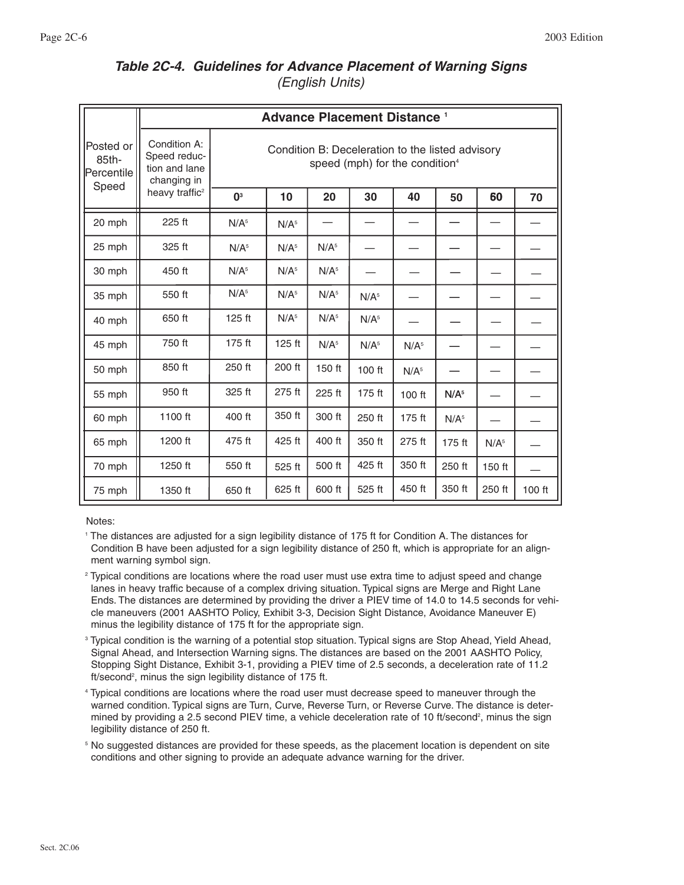# *Table 2C-4. Guidelines for Advance Placement of Warning Signs (English Units)*

|                                           | <b>Advance Placement Distance 1</b>                          |                                                                                                |                  |                  |                  |                  |                  |                  |          |  |  |
|-------------------------------------------|--------------------------------------------------------------|------------------------------------------------------------------------------------------------|------------------|------------------|------------------|------------------|------------------|------------------|----------|--|--|
| Posted or<br>85th-<br>Percentile<br>Speed | Condition A:<br>Speed reduc-<br>tion and lane<br>changing in | Condition B: Deceleration to the listed advisory<br>speed (mph) for the condition <sup>4</sup> |                  |                  |                  |                  |                  |                  |          |  |  |
|                                           | heavy traffic <sup>2</sup>                                   | 0 <sup>3</sup>                                                                                 | 10               | 20               | 30               | 40               | 50               | 60               | 70       |  |  |
| 20 mph                                    | 225 ft                                                       | N/A <sup>5</sup>                                                                               | N/A <sup>5</sup> |                  |                  |                  |                  |                  |          |  |  |
| 25 mph                                    | 325 ft                                                       | N/A <sup>5</sup>                                                                               | N/A <sup>5</sup> | N/A <sup>5</sup> |                  |                  |                  |                  |          |  |  |
| 30 mph                                    | 450 ft                                                       | N/A <sup>5</sup>                                                                               | N/A <sup>5</sup> | N/A <sup>5</sup> |                  |                  |                  |                  |          |  |  |
| 35 mph                                    | 550 ft                                                       | N/A <sup>5</sup>                                                                               | N/A <sup>5</sup> | N/A <sup>5</sup> | N/A <sup>5</sup> |                  |                  |                  |          |  |  |
| 40 mph                                    | 650 ft                                                       | $125$ ft                                                                                       | N/A <sup>5</sup> | N/A <sup>5</sup> | N/A <sup>5</sup> |                  |                  |                  |          |  |  |
| 45 mph                                    | 750 ft                                                       | 175 ft                                                                                         | 125 ft           | N/A <sup>5</sup> | N/A <sup>5</sup> | N/A <sup>5</sup> |                  |                  |          |  |  |
| 50 mph                                    | 850 ft                                                       | 250 ft                                                                                         | 200 ft           | 150 ft           | 100 ft           | N/A <sup>5</sup> |                  |                  |          |  |  |
| 55 mph                                    | 950 ft                                                       | 325 ft                                                                                         | 275 ft           | 225 ft           | 175 ft           | 100 ft           | N/A <sup>5</sup> |                  |          |  |  |
| 60 mph                                    | 1100 ft                                                      | 400 ft                                                                                         | 350 ft           | 300 ft           | 250 ft           | 175 ft           | N/A <sup>5</sup> |                  |          |  |  |
| 65 mph                                    | 1200 ft                                                      | 475 ft                                                                                         | 425 ft           | 400 ft           | 350 ft           | 275 ft           | 175 ft           | N/A <sup>5</sup> |          |  |  |
| 70 mph                                    | 1250 ft                                                      | 550 ft                                                                                         | 525 ft           | 500 ft           | 425 ft           | 350 ft           | 250 ft           | 150 ft           |          |  |  |
| 75 mph                                    | 1350 ft                                                      | 650 ft                                                                                         | 625 ft           | 600 ft           | 525 ft           | 450 ft           | 350 ft           | 250 ft           | $100$ ft |  |  |

Notes:

<sup>1</sup> The distances are adjusted for a sign legibility distance of 175 ft for Condition A. The distances for Condition B have been adjusted for a sign legibility distance of 250 ft, which is appropriate for an alignment warning symbol sign.

<sup>2</sup> Typical conditions are locations where the road user must use extra time to adjust speed and change lanes in heavy traffic because of a complex driving situation. Typical signs are Merge and Right Lane Ends. The distances are determined by providing the driver a PIEV time of 14.0 to 14.5 seconds for vehicle maneuvers (2001 AASHTO Policy, Exhibit 3-3, Decision Sight Distance, Avoidance Maneuver E) minus the legibility distance of 175 ft for the appropriate sign.

<sup>3</sup> Typical condition is the warning of a potential stop situation. Typical signs are Stop Ahead, Yield Ahead, Signal Ahead, and Intersection Warning signs. The distances are based on the 2001 AASHTO Policy, Stopping Sight Distance, Exhibit 3-1, providing a PIEV time of 2.5 seconds, a deceleration rate of 11.2 ft/second<sup>2</sup>, minus the sign legibility distance of 175 ft.

<sup>4</sup> Typical conditions are locations where the road user must decrease speed to maneuver through the warned condition. Typical signs are Turn, Curve, Reverse Turn, or Reverse Curve. The distance is determined by providing a 2.5 second PIEV time, a vehicle deceleration rate of 10 ft/second<sup>2</sup>, minus the sign legibility distance of 250 ft.

<sup>5</sup> No suggested distances are provided for these speeds, as the placement location is dependent on site conditions and other signing to provide an adequate advance warning for the driver.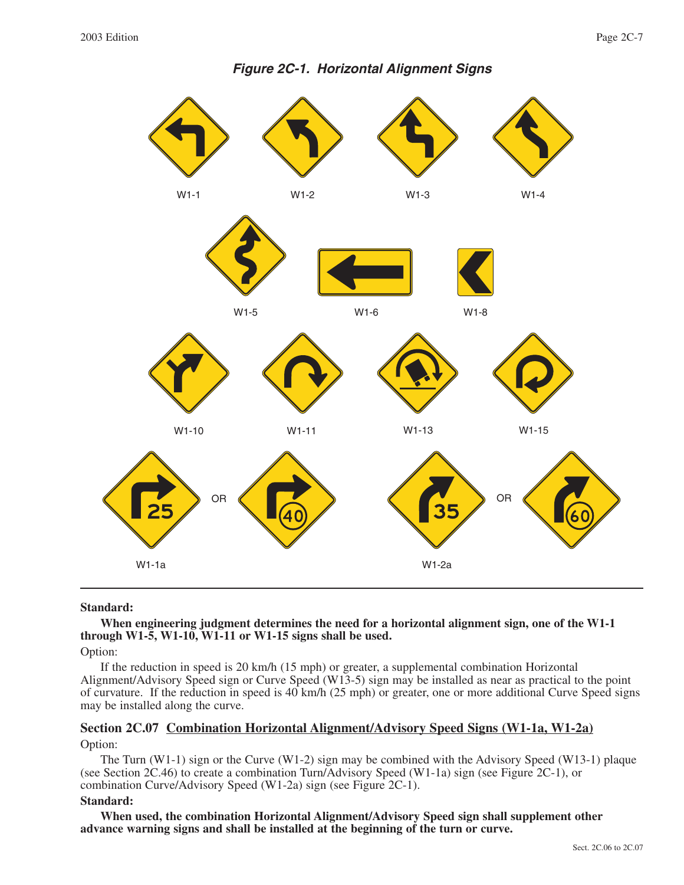

#### **Standard:**

# **When engineering judgment determines the need for a horizontal alignment sign, one of the W1-1 through W1-5, W1-10, W1-11 or W1-15 signs shall be used.**

Option:

If the reduction in speed is 20 km/h (15 mph) or greater, a supplemental combination Horizontal Alignment/Advisory Speed sign or Curve Speed (W13-5) sign may be installed as near as practical to the point of curvature. If the reduction in speed is 40 km/h (25 mph) or greater, one or more additional Curve Speed signs may be installed along the curve.

## **Section 2C.07 Combination Horizontal Alignment/Advisory Speed Signs (W1-1a, W1-2a)** Option:

The Turn (W1-1) sign or the Curve (W1-2) sign may be combined with the Advisory Speed (W13-1) plaque (see Section 2C.46) to create a combination Turn/Advisory Speed (W1-1a) sign (see Figure 2C-1), or combination Curve/Advisory Speed (W1-2a) sign (see Figure 2C-1).

#### **Standard:**

**When used, the combination Horizontal Alignment/Advisory Speed sign shall supplement other advance warning signs and shall be installed at the beginning of the turn or curve.**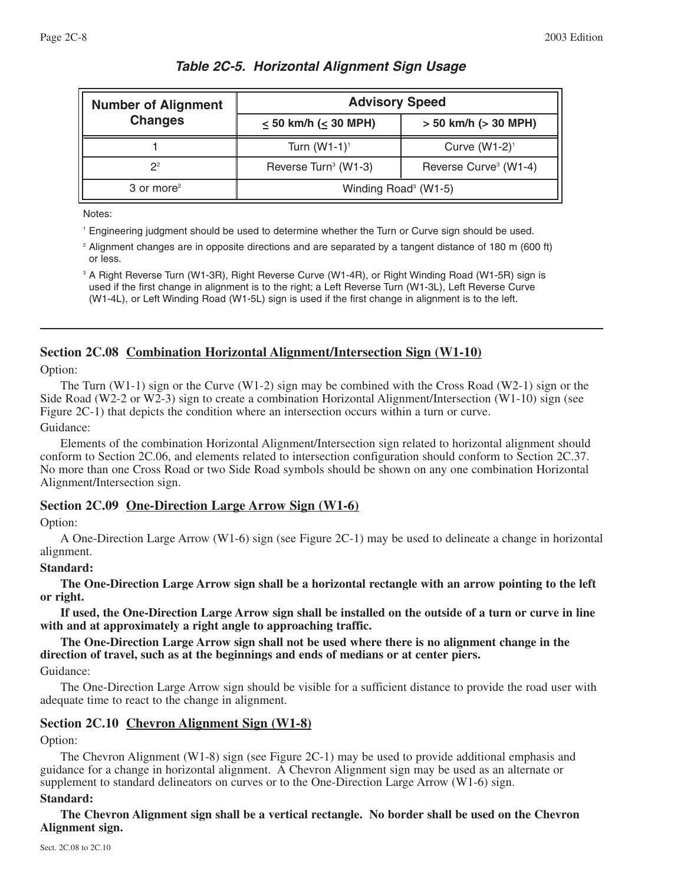| <b>Number of Alignment</b> | <b>Advisory Speed</b>            |                                   |  |  |  |  |
|----------------------------|----------------------------------|-----------------------------------|--|--|--|--|
| <b>Changes</b>             | $\leq$ 50 km/h ( $\leq$ 30 MPH)  | $> 50$ km/h ( $> 30$ MPH)         |  |  |  |  |
|                            | Turn $(W1-1)^1$                  | Curve $(W1-2)^1$                  |  |  |  |  |
| 2 <sup>2</sup>             | Reverse Turn <sup>3</sup> (W1-3) | Reverse Curve <sup>3</sup> (W1-4) |  |  |  |  |
| $3$ or more <sup>2</sup>   | Winding Road <sup>3</sup> (W1-5) |                                   |  |  |  |  |

# *Table 2C-5. Horizontal Alignment Sign Usage*

Notes:

<sup>1</sup> Engineering judgment should be used to determine whether the Turn or Curve sign should be used.

<sup>2</sup> Alignment changes are in opposite directions and are separated by a tangent distance of 180 m (600 ft) or less.

<sup>3</sup> A Right Reverse Turn (W1-3R), Right Reverse Curve (W1-4R), or Right Winding Road (W1-5R) sign is used if the first change in alignment is to the right; a Left Reverse Turn (W1-3L), Left Reverse Curve (W1-4L), or Left Winding Road (W1-5L) sign is used if the first change in alignment is to the left.

# **Section 2C.08 Combination Horizontal Alignment/Intersection Sign (W1-10)**

Option:

The Turn (W1-1) sign or the Curve (W1-2) sign may be combined with the Cross Road (W2-1) sign or the Side Road (W2-2 or W2-3) sign to create a combination Horizontal Alignment/Intersection (W1-10) sign (see Figure 2C-1) that depicts the condition where an intersection occurs within a turn or curve. Guidance:

Elements of the combination Horizontal Alignment/Intersection sign related to horizontal alignment should conform to Section 2C.06, and elements related to intersection configuration should conform to Section 2C.37. No more than one Cross Road or two Side Road symbols should be shown on any one combination Horizontal Alignment/Intersection sign.

# **Section 2C.09 One-Direction Large Arrow Sign (W1-6)**

# Option:

A One-Direction Large Arrow (W1-6) sign (see Figure 2C-1) may be used to delineate a change in horizontal alignment.

# **Standard:**

**The One-Direction Large Arrow sign shall be a horizontal rectangle with an arrow pointing to the left or right.**

**If used, the One-Direction Large Arrow sign shall be installed on the outside of a turn or curve in line with and at approximately a right angle to approaching traffic.**

**The One-Direction Large Arrow sign shall not be used where there is no alignment change in the direction of travel, such as at the beginnings and ends of medians or at center piers.**

Guidance:

The One-Direction Large Arrow sign should be visible for a sufficient distance to provide the road user with adequate time to react to the change in alignment.

# **Section 2C.10 Chevron Alignment Sign (W1-8)**

Option:

The Chevron Alignment (W1-8) sign (see Figure 2C-1) may be used to provide additional emphasis and guidance for a change in horizontal alignment. A Chevron Alignment sign may be used as an alternate or supplement to standard delineators on curves or to the One-Direction Large Arrow (W1-6) sign.

#### **Standard:**

**The Chevron Alignment sign shall be a vertical rectangle. No border shall be used on the Chevron Alignment sign.**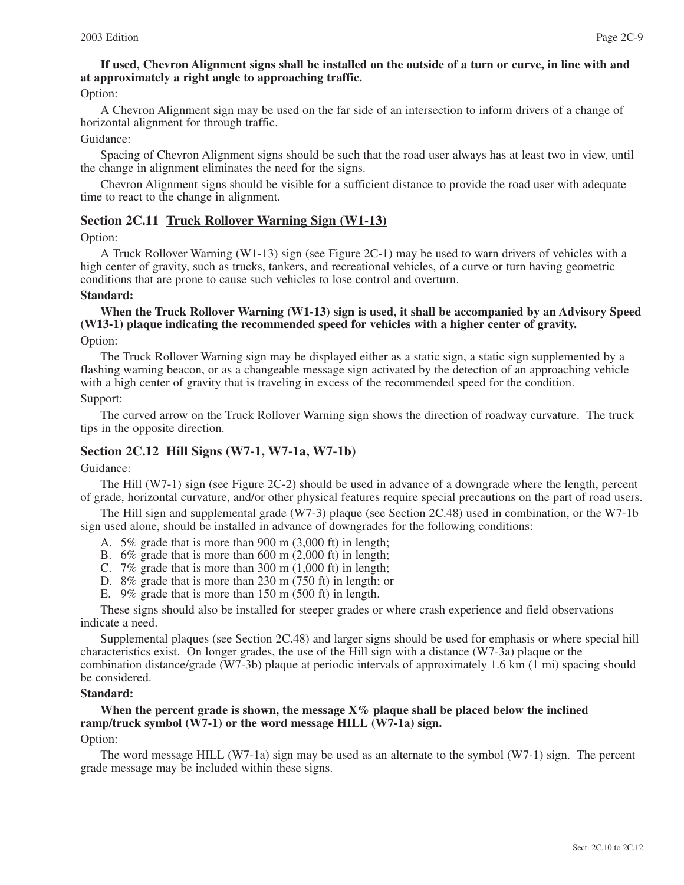# **If used, Chevron Alignment signs shall be installed on the outside of a turn or curve, in line with and at approximately a right angle to approaching traffic.**

Option:

A Chevron Alignment sign may be used on the far side of an intersection to inform drivers of a change of horizontal alignment for through traffic.

#### Guidance:

Spacing of Chevron Alignment signs should be such that the road user always has at least two in view, until the change in alignment eliminates the need for the signs.

Chevron Alignment signs should be visible for a sufficient distance to provide the road user with adequate time to react to the change in alignment.

#### **Section 2C.11 Truck Rollover Warning Sign (W1-13)**

Option:

A Truck Rollover Warning (W1-13) sign (see Figure 2C-1) may be used to warn drivers of vehicles with a high center of gravity, such as trucks, tankers, and recreational vehicles, of a curve or turn having geometric conditions that are prone to cause such vehicles to lose control and overturn.

#### **Standard:**

# **When the Truck Rollover Warning (W1-13) sign is used, it shall be accompanied by an Advisory Speed (W13-1) plaque indicating the recommended speed for vehicles with a higher center of gravity.**

Option:

The Truck Rollover Warning sign may be displayed either as a static sign, a static sign supplemented by a flashing warning beacon, or as a changeable message sign activated by the detection of an approaching vehicle with a high center of gravity that is traveling in excess of the recommended speed for the condition.

#### Support:

The curved arrow on the Truck Rollover Warning sign shows the direction of roadway curvature. The truck tips in the opposite direction.

#### **Section 2C.12 Hill Signs (W7-1, W7-1a, W7-1b)**

#### Guidance:

The Hill (W7-1) sign (see Figure 2C-2) should be used in advance of a downgrade where the length, percent of grade, horizontal curvature, and/or other physical features require special precautions on the part of road users.

The Hill sign and supplemental grade (W7-3) plaque (see Section 2C.48) used in combination, or the W7-1b sign used alone, should be installed in advance of downgrades for the following conditions:

- A. 5% grade that is more than 900 m (3,000 ft) in length;
- B. 6% grade that is more than 600 m (2,000 ft) in length;
- C. 7% grade that is more than 300 m (1,000 ft) in length;
- D. 8% grade that is more than 230 m (750 ft) in length; or
- E. 9% grade that is more than 150 m (500 ft) in length.

These signs should also be installed for steeper grades or where crash experience and field observations indicate a need.

Supplemental plaques (see Section 2C.48) and larger signs should be used for emphasis or where special hill characteristics exist. On longer grades, the use of the Hill sign with a distance (W7-3a) plaque or the combination distance/grade (W7-3b) plaque at periodic intervals of approximately 1.6 km (1 mi) spacing should be considered.

#### **Standard:**

#### **When the percent grade is shown, the message X% plaque shall be placed below the inclined ramp/truck symbol (W7-1) or the word message HILL (W7-1a) sign.**

#### Option:

The word message HILL (W7-1a) sign may be used as an alternate to the symbol (W7-1) sign. The percent grade message may be included within these signs.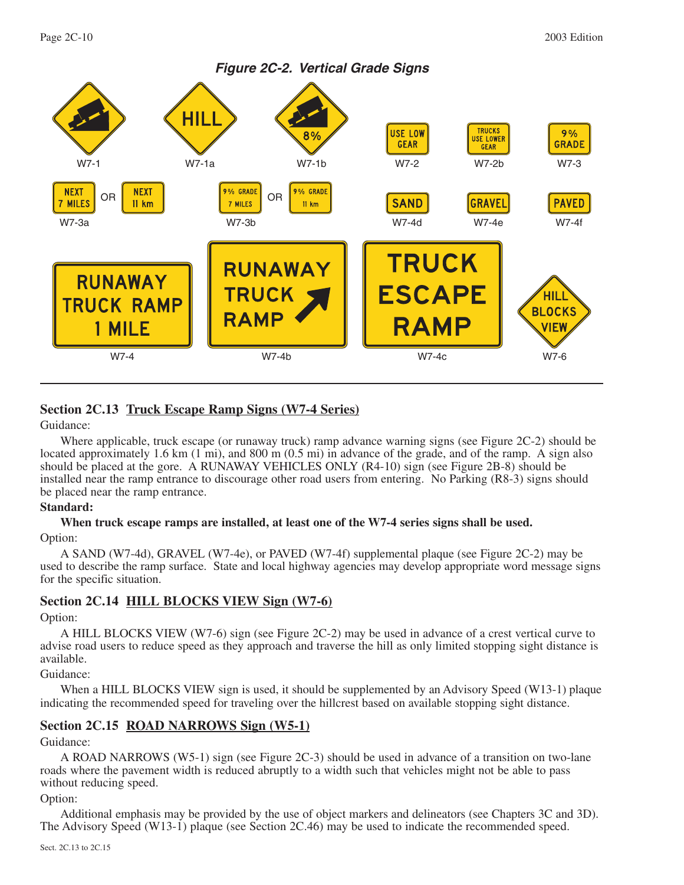

# **Section 2C.13 Truck Escape Ramp Signs (W7-4 Series)**

#### Guidance:

Where applicable, truck escape (or runaway truck) ramp advance warning signs (see Figure 2C-2) should be located approximately 1.6 km (1 mi), and 800 m (0.5 mi) in advance of the grade, and of the ramp. A sign also should be placed at the gore. A RUNAWAY VEHICLES ONLY (R4-10) sign (see Figure 2B-8) should be installed near the ramp entrance to discourage other road users from entering. No Parking (R8-3) signs should be placed near the ramp entrance.

#### **Standard:**

# **When truck escape ramps are installed, at least one of the W7-4 series signs shall be used.** Option:

A SAND (W7-4d), GRAVEL (W7-4e), or PAVED (W7-4f) supplemental plaque (see Figure 2C-2) may be used to describe the ramp surface. State and local highway agencies may develop appropriate word message signs for the specific situation.

# **Section 2C.14 HILL BLOCKS VIEW Sign (W7-6)**

Option:

A HILL BLOCKS VIEW (W7-6) sign (see Figure 2C-2) may be used in advance of a crest vertical curve to advise road users to reduce speed as they approach and traverse the hill as only limited stopping sight distance is available.

# Guidance:

When a HILL BLOCKS VIEW sign is used, it should be supplemented by an Advisory Speed (W13-1) plaque indicating the recommended speed for traveling over the hillcrest based on available stopping sight distance.

# **Section 2C.15 ROAD NARROWS Sign (W5-1)**

Guidance:

A ROAD NARROWS (W5-1) sign (see Figure 2C-3) should be used in advance of a transition on two-lane roads where the pavement width is reduced abruptly to a width such that vehicles might not be able to pass without reducing speed.

#### Option:

Additional emphasis may be provided by the use of object markers and delineators (see Chapters 3C and 3D). The Advisory Speed (W13-1) plaque (see Section 2C.46) may be used to indicate the recommended speed.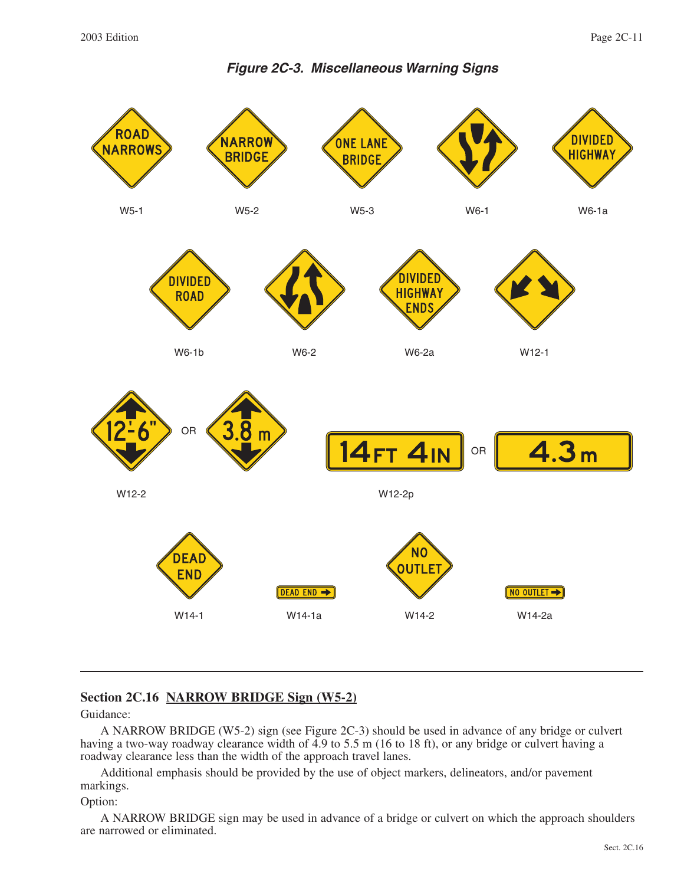**Figure 2C-3. Miscellaneous Warning Signs**



# **Section 2C.16 NARROW BRIDGE Sign (W5-2)**

Guidance:

A NARROW BRIDGE (W5-2) sign (see Figure 2C-3) should be used in advance of any bridge or culvert having a two-way roadway clearance width of 4.9 to 5.5 m (16 to 18 ft), or any bridge or culvert having a roadway clearance less than the width of the approach travel lanes.

Additional emphasis should be provided by the use of object markers, delineators, and/or pavement markings.

Option:

A NARROW BRIDGE sign may be used in advance of a bridge or culvert on which the approach shoulders are narrowed or eliminated.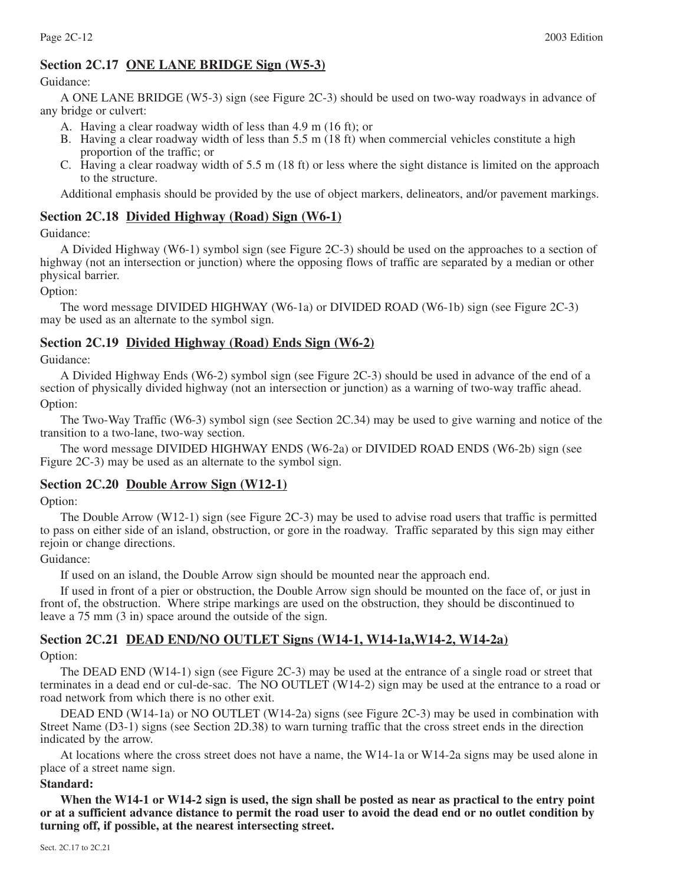# **Section 2C.17 ONE LANE BRIDGE Sign (W5-3)**

#### Guidance:

A ONE LANE BRIDGE (W5-3) sign (see Figure 2C-3) should be used on two-way roadways in advance of any bridge or culvert:

- A. Having a clear roadway width of less than 4.9 m (16 ft); or
- B. Having a clear roadway width of less than 5.5 m (18 ft) when commercial vehicles constitute a high proportion of the traffic; or
- C. Having a clear roadway width of 5.5 m (18 ft) or less where the sight distance is limited on the approach to the structure.

Additional emphasis should be provided by the use of object markers, delineators, and/or pavement markings.

# **Section 2C.18 Divided Highway (Road) Sign (W6-1)**

Guidance:

A Divided Highway (W6-1) symbol sign (see Figure 2C-3) should be used on the approaches to a section of highway (not an intersection or junction) where the opposing flows of traffic are separated by a median or other physical barrier.

Option:

The word message DIVIDED HIGHWAY (W6-1a) or DIVIDED ROAD (W6-1b) sign (see Figure 2C-3) may be used as an alternate to the symbol sign.

# **Section 2C.19 Divided Highway (Road) Ends Sign (W6-2)**

Guidance:

A Divided Highway Ends (W6-2) symbol sign (see Figure 2C-3) should be used in advance of the end of a section of physically divided highway (not an intersection or junction) as a warning of two-way traffic ahead. Option:

The Two-Way Traffic (W6-3) symbol sign (see Section 2C.34) may be used to give warning and notice of the transition to a two-lane, two-way section.

The word message DIVIDED HIGHWAY ENDS (W6-2a) or DIVIDED ROAD ENDS (W6-2b) sign (see Figure 2C-3) may be used as an alternate to the symbol sign.

#### **Section 2C.20 Double Arrow Sign (W12-1)**

#### Option:

The Double Arrow (W12-1) sign (see Figure 2C-3) may be used to advise road users that traffic is permitted to pass on either side of an island, obstruction, or gore in the roadway. Traffic separated by this sign may either rejoin or change directions.

#### Guidance:

If used on an island, the Double Arrow sign should be mounted near the approach end.

If used in front of a pier or obstruction, the Double Arrow sign should be mounted on the face of, or just in front of, the obstruction. Where stripe markings are used on the obstruction, they should be discontinued to leave a 75 mm (3 in) space around the outside of the sign.

# **Section 2C.21 DEAD END/NO OUTLET Signs (W14-1, W14-1a,W14-2, W14-2a)**

Option:

The DEAD END (W14-1) sign (see Figure 2C-3) may be used at the entrance of a single road or street that terminates in a dead end or cul-de-sac. The NO OUTLET (W14-2) sign may be used at the entrance to a road or road network from which there is no other exit.

DEAD END (W14-1a) or NO OUTLET (W14-2a) signs (see Figure 2C-3) may be used in combination with Street Name (D3-1) signs (see Section 2D.38) to warn turning traffic that the cross street ends in the direction indicated by the arrow.

At locations where the cross street does not have a name, the W14-1a or W14-2a signs may be used alone in place of a street name sign.

#### **Standard:**

**When the W14-1 or W14-2 sign is used, the sign shall be posted as near as practical to the entry point or at a sufficient advance distance to permit the road user to avoid the dead end or no outlet condition by turning off, if possible, at the nearest intersecting street.**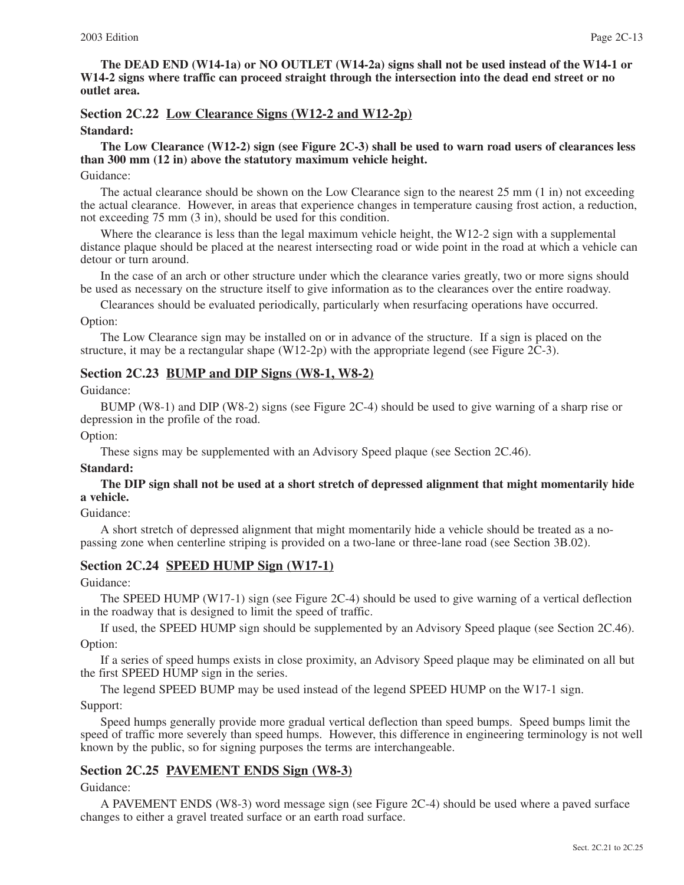**The DEAD END (W14-1a) or NO OUTLET (W14-2a) signs shall not be used instead of the W14-1 or W14-2 signs where traffic can proceed straight through the intersection into the dead end street or no outlet area.**

#### **Section 2C.22 Low Clearance Signs (W12-2 and W12-2p)**

#### **Standard:**

#### **The Low Clearance (W12-2) sign (see Figure 2C-3) shall be used to warn road users of clearances less than 300 mm (12 in) above the statutory maximum vehicle height.**

#### Guidance:

The actual clearance should be shown on the Low Clearance sign to the nearest 25 mm (1 in) not exceeding the actual clearance. However, in areas that experience changes in temperature causing frost action, a reduction, not exceeding 75 mm (3 in), should be used for this condition.

Where the clearance is less than the legal maximum vehicle height, the W12-2 sign with a supplemental distance plaque should be placed at the nearest intersecting road or wide point in the road at which a vehicle can detour or turn around.

In the case of an arch or other structure under which the clearance varies greatly, two or more signs should be used as necessary on the structure itself to give information as to the clearances over the entire roadway.

Clearances should be evaluated periodically, particularly when resurfacing operations have occurred.

Option:

The Low Clearance sign may be installed on or in advance of the structure. If a sign is placed on the structure, it may be a rectangular shape (W12-2p) with the appropriate legend (see Figure 2C-3).

#### **Section 2C.23 BUMP and DIP Signs (W8-1, W8-2)**

#### Guidance:

BUMP (W8-1) and DIP (W8-2) signs (see Figure 2C-4) should be used to give warning of a sharp rise or depression in the profile of the road.

#### Option:

These signs may be supplemented with an Advisory Speed plaque (see Section 2C.46).

#### **Standard:**

**The DIP sign shall not be used at a short stretch of depressed alignment that might momentarily hide a vehicle.**

#### Guidance:

A short stretch of depressed alignment that might momentarily hide a vehicle should be treated as a nopassing zone when centerline striping is provided on a two-lane or three-lane road (see Section 3B.02).

# **Section 2C.24 SPEED HUMP Sign (W17-1)**

#### Guidance:

The SPEED HUMP (W17-1) sign (see Figure 2C-4) should be used to give warning of a vertical deflection in the roadway that is designed to limit the speed of traffic.

If used, the SPEED HUMP sign should be supplemented by an Advisory Speed plaque (see Section 2C.46). Option:

If a series of speed humps exists in close proximity, an Advisory Speed plaque may be eliminated on all but the first SPEED HUMP sign in the series.

The legend SPEED BUMP may be used instead of the legend SPEED HUMP on the W17-1 sign.

#### Support:

Speed humps generally provide more gradual vertical deflection than speed bumps. Speed bumps limit the speed of traffic more severely than speed humps. However, this difference in engineering terminology is not well known by the public, so for signing purposes the terms are interchangeable.

#### **Section 2C.25 PAVEMENT ENDS Sign (W8-3)**

#### Guidance:

A PAVEMENT ENDS (W8-3) word message sign (see Figure 2C-4) should be used where a paved surface changes to either a gravel treated surface or an earth road surface.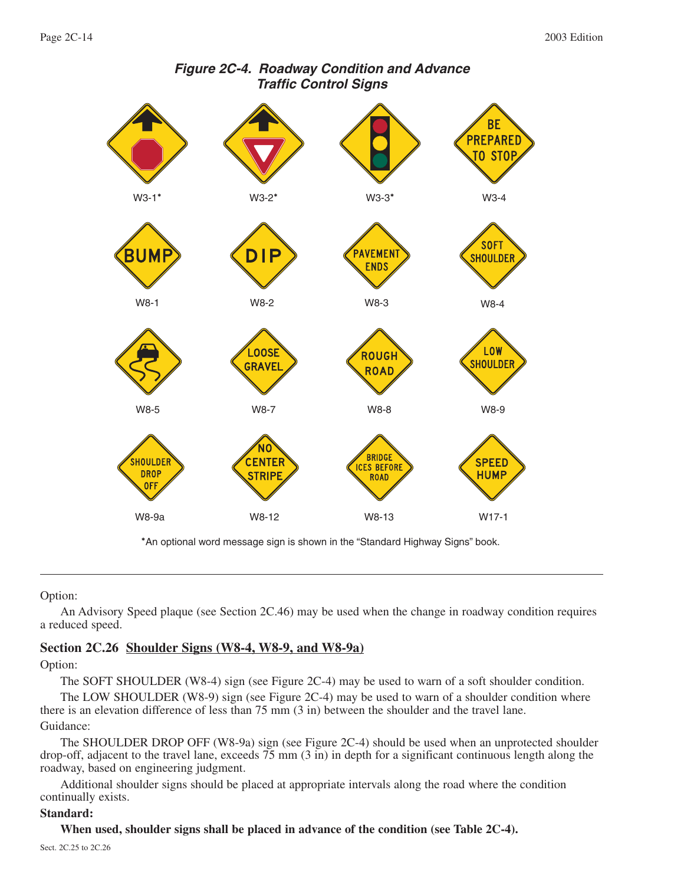

# **Figure 2C-4. Roadway Condition and Advance Traffic Control Signs**

\*An optional word message sign is shown in the "Standard Highway Signs" book.

#### Option:

An Advisory Speed plaque (see Section 2C.46) may be used when the change in roadway condition requires a reduced speed.

# **Section 2C.26 Shoulder Signs (W8-4, W8-9, and W8-9a)**

Option:

The SOFT SHOULDER (W8-4) sign (see Figure 2C-4) may be used to warn of a soft shoulder condition.

The LOW SHOULDER (W8-9) sign (see Figure 2C-4) may be used to warn of a shoulder condition where there is an elevation difference of less than 75 mm (3 in) between the shoulder and the travel lane. Guidance:

The SHOULDER DROP OFF (W8-9a) sign (see Figure 2C-4) should be used when an unprotected shoulder drop-off, adjacent to the travel lane, exceeds 75 mm (3 in) in depth for a significant continuous length along the roadway, based on engineering judgment.

Additional shoulder signs should be placed at appropriate intervals along the road where the condition continually exists.

#### **Standard:**

**When used, shoulder signs shall be placed in advance of the condition (see Table 2C-4).**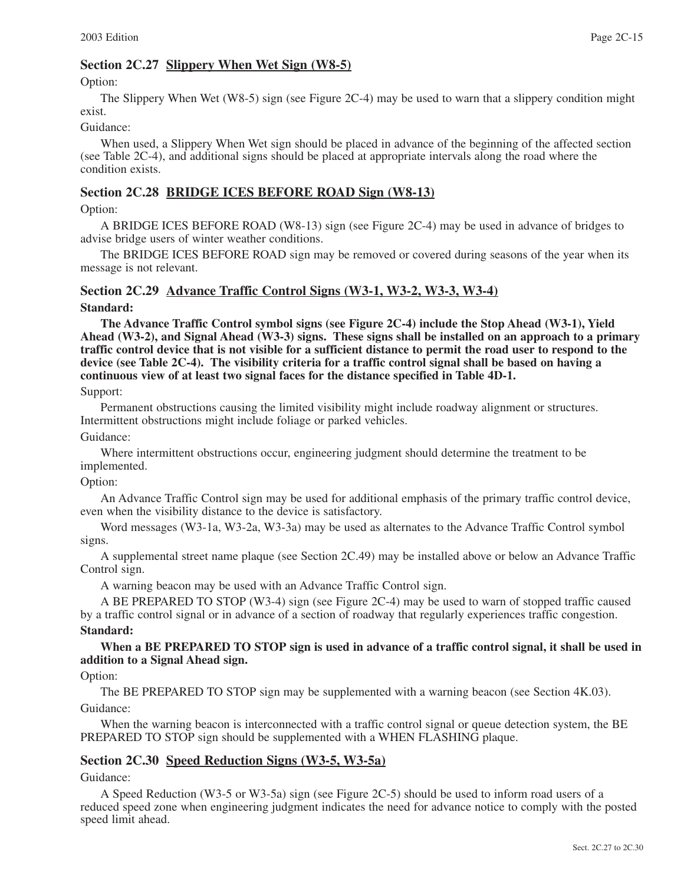# **Section 2C.27 Slippery When Wet Sign (W8-5)**

Option:

The Slippery When Wet (W8-5) sign (see Figure 2C-4) may be used to warn that a slippery condition might exist.

#### Guidance:

When used, a Slippery When Wet sign should be placed in advance of the beginning of the affected section (see Table 2C-4), and additional signs should be placed at appropriate intervals along the road where the condition exists.

# **Section 2C.28 BRIDGE ICES BEFORE ROAD Sign (W8-13)**

Option:

A BRIDGE ICES BEFORE ROAD (W8-13) sign (see Figure 2C-4) may be used in advance of bridges to advise bridge users of winter weather conditions.

The BRIDGE ICES BEFORE ROAD sign may be removed or covered during seasons of the year when its message is not relevant.

# **Section 2C.29 Advance Traffic Control Signs (W3-1, W3-2, W3-3, W3-4)**

# **Standard:**

**The Advance Traffic Control symbol signs (see Figure 2C-4) include the Stop Ahead (W3-1), Yield Ahead (W3-2), and Signal Ahead (W3-3) signs. These signs shall be installed on an approach to a primary traffic control device that is not visible for a sufficient distance to permit the road user to respond to the device (see Table 2C-4). The visibility criteria for a traffic control signal shall be based on having a continuous view of at least two signal faces for the distance specified in Table 4D-1.**

Support:

Permanent obstructions causing the limited visibility might include roadway alignment or structures. Intermittent obstructions might include foliage or parked vehicles.

Guidance:

Where intermittent obstructions occur, engineering judgment should determine the treatment to be implemented.

Option:

An Advance Traffic Control sign may be used for additional emphasis of the primary traffic control device, even when the visibility distance to the device is satisfactory.

Word messages (W3-1a, W3-2a, W3-3a) may be used as alternates to the Advance Traffic Control symbol signs.

A supplemental street name plaque (see Section 2C.49) may be installed above or below an Advance Traffic Control sign.

A warning beacon may be used with an Advance Traffic Control sign.

A BE PREPARED TO STOP (W3-4) sign (see Figure 2C-4) may be used to warn of stopped traffic caused by a traffic control signal or in advance of a section of roadway that regularly experiences traffic congestion. **Standard:**

**When a BE PREPARED TO STOP sign is used in advance of a traffic control signal, it shall be used in addition to a Signal Ahead sign.**

Option:

The BE PREPARED TO STOP sign may be supplemented with a warning beacon (see Section 4K.03). Guidance:

When the warning beacon is interconnected with a traffic control signal or queue detection system, the BE PREPARED TO STOP sign should be supplemented with a WHEN FLASHING plaque.

# **Section 2C.30 Speed Reduction Signs (W3-5, W3-5a)**

Guidance:

A Speed Reduction (W3-5 or W3-5a) sign (see Figure 2C-5) should be used to inform road users of a reduced speed zone when engineering judgment indicates the need for advance notice to comply with the posted speed limit ahead.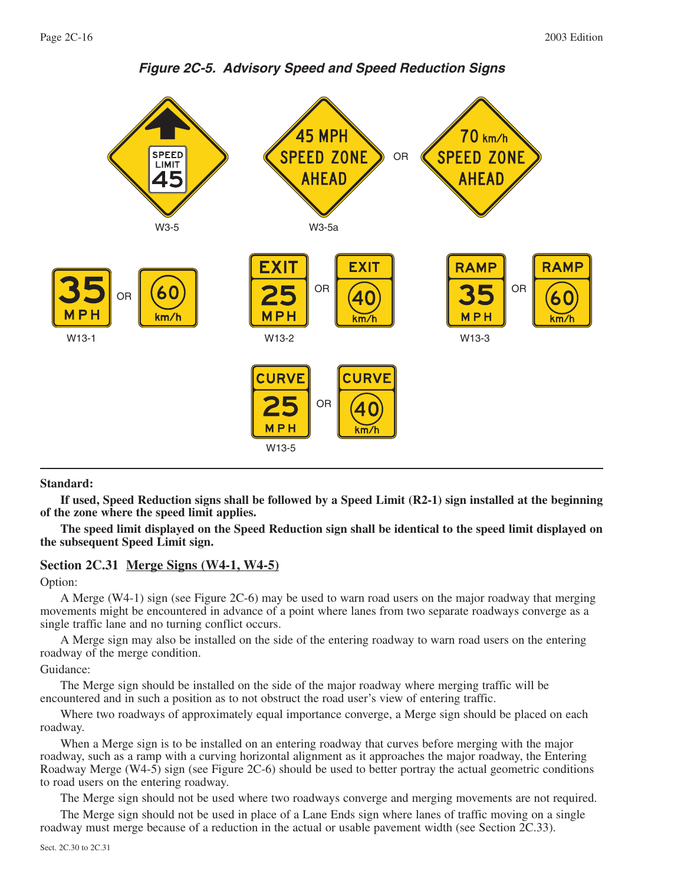

**Figure 2C-5. Advisory Speed and Speed Reduction Signs**

#### **Standard:**

**If used, Speed Reduction signs shall be followed by a Speed Limit (R2-1) sign installed at the beginning of the zone where the speed limit applies.**

**The speed limit displayed on the Speed Reduction sign shall be identical to the speed limit displayed on the subsequent Speed Limit sign.**

#### **Section 2C.31 Merge Signs (W4-1, W4-5)**

#### Option:

A Merge (W4-1) sign (see Figure 2C-6) may be used to warn road users on the major roadway that merging movements might be encountered in advance of a point where lanes from two separate roadways converge as a single traffic lane and no turning conflict occurs.

A Merge sign may also be installed on the side of the entering roadway to warn road users on the entering roadway of the merge condition.

Guidance:

The Merge sign should be installed on the side of the major roadway where merging traffic will be encountered and in such a position as to not obstruct the road user's view of entering traffic.

Where two roadways of approximately equal importance converge, a Merge sign should be placed on each roadway.

When a Merge sign is to be installed on an entering roadway that curves before merging with the major roadway, such as a ramp with a curving horizontal alignment as it approaches the major roadway, the Entering Roadway Merge (W4-5) sign (see Figure 2C-6) should be used to better portray the actual geometric conditions to road users on the entering roadway.

The Merge sign should not be used where two roadways converge and merging movements are not required.

The Merge sign should not be used in place of a Lane Ends sign where lanes of traffic moving on a single roadway must merge because of a reduction in the actual or usable pavement width (see Section 2C.33).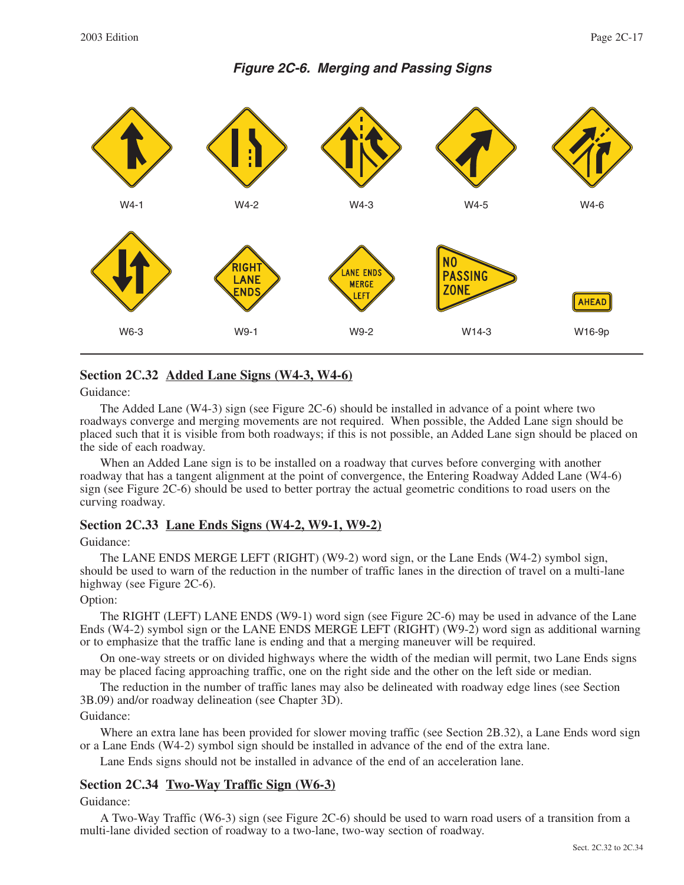# **Figure 2C-6. Merging and Passing Signs**



# **Section 2C.32 Added Lane Signs (W4-3, W4-6)**

Guidance:

The Added Lane (W4-3) sign (see Figure 2C-6) should be installed in advance of a point where two roadways converge and merging movements are not required. When possible, the Added Lane sign should be placed such that it is visible from both roadways; if this is not possible, an Added Lane sign should be placed on the side of each roadway.

When an Added Lane sign is to be installed on a roadway that curves before converging with another roadway that has a tangent alignment at the point of convergence, the Entering Roadway Added Lane (W4-6) sign (see Figure 2C-6) should be used to better portray the actual geometric conditions to road users on the curving roadway.

#### **Section 2C.33 Lane Ends Signs (W4-2, W9-1, W9-2)**

#### Guidance:

The LANE ENDS MERGE LEFT (RIGHT) (W9-2) word sign, or the Lane Ends (W4-2) symbol sign, should be used to warn of the reduction in the number of traffic lanes in the direction of travel on a multi-lane highway (see Figure 2C-6).

#### Option:

The RIGHT (LEFT) LANE ENDS (W9-1) word sign (see Figure 2C-6) may be used in advance of the Lane Ends (W4-2) symbol sign or the LANE ENDS MERGE LEFT (RIGHT) (W9-2) word sign as additional warning or to emphasize that the traffic lane is ending and that a merging maneuver will be required.

On one-way streets or on divided highways where the width of the median will permit, two Lane Ends signs may be placed facing approaching traffic, one on the right side and the other on the left side or median.

The reduction in the number of traffic lanes may also be delineated with roadway edge lines (see Section 3B.09) and/or roadway delineation (see Chapter 3D).

#### Guidance:

Where an extra lane has been provided for slower moving traffic (see Section 2B.32), a Lane Ends word sign or a Lane Ends (W4-2) symbol sign should be installed in advance of the end of the extra lane.

Lane Ends signs should not be installed in advance of the end of an acceleration lane.

# **Section 2C.34 Two-Way Traffic Sign (W6-3)**

Guidance:

A Two-Way Traffic (W6-3) sign (see Figure 2C-6) should be used to warn road users of a transition from a multi-lane divided section of roadway to a two-lane, two-way section of roadway.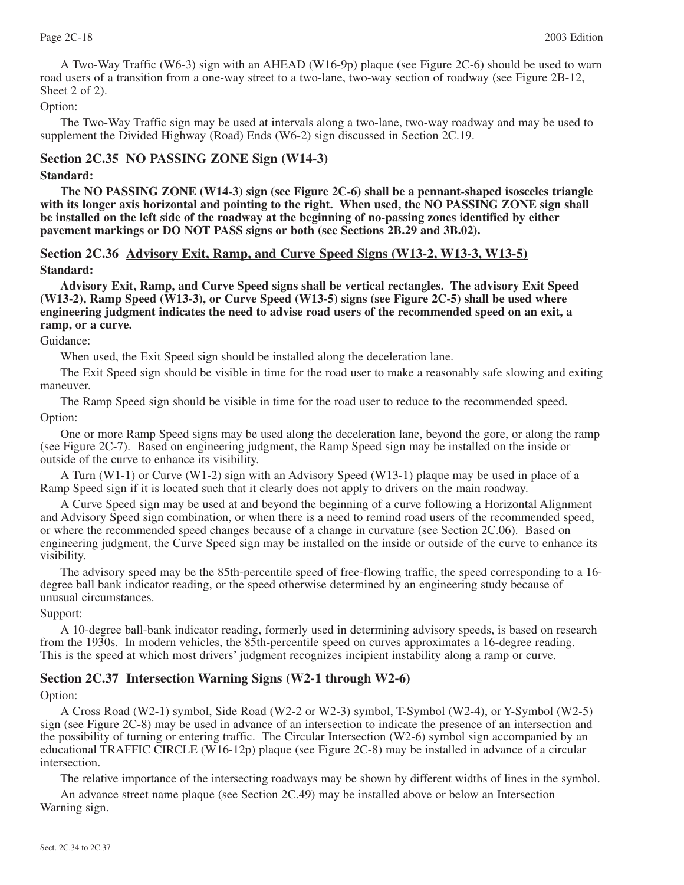A Two-Way Traffic (W6-3) sign with an AHEAD (W16-9p) plaque (see Figure 2C-6) should be used to warn road users of a transition from a one-way street to a two-lane, two-way section of roadway (see Figure 2B-12, Sheet 2 of 2).

### Option:

The Two-Way Traffic sign may be used at intervals along a two-lane, two-way roadway and may be used to supplement the Divided Highway (Road) Ends (W6-2) sign discussed in Section 2C.19.

# **Section 2C.35 NO PASSING ZONE Sign (W14-3)**

#### **Standard:**

**The NO PASSING ZONE (W14-3) sign (see Figure 2C-6) shall be a pennant-shaped isosceles triangle with its longer axis horizontal and pointing to the right. When used, the NO PASSING ZONE sign shall be installed on the left side of the roadway at the beginning of no-passing zones identified by either pavement markings or DO NOT PASS signs or both (see Sections 2B.29 and 3B.02).**

**Section 2C.36 Advisory Exit, Ramp, and Curve Speed Signs (W13-2, W13-3, W13-5) Standard:**

**Advisory Exit, Ramp, and Curve Speed signs shall be vertical rectangles. The advisory Exit Speed (W13-2), Ramp Speed (W13-3), or Curve Speed (W13-5) signs (see Figure 2C-5) shall be used where engineering judgment indicates the need to advise road users of the recommended speed on an exit, a ramp, or a curve.**

#### Guidance:

When used, the Exit Speed sign should be installed along the deceleration lane.

The Exit Speed sign should be visible in time for the road user to make a reasonably safe slowing and exiting maneuver.

The Ramp Speed sign should be visible in time for the road user to reduce to the recommended speed. Option:

One or more Ramp Speed signs may be used along the deceleration lane, beyond the gore, or along the ramp (see Figure 2C-7). Based on engineering judgment, the Ramp Speed sign may be installed on the inside or outside of the curve to enhance its visibility.

A Turn (W1-1) or Curve (W1-2) sign with an Advisory Speed (W13-1) plaque may be used in place of a Ramp Speed sign if it is located such that it clearly does not apply to drivers on the main roadway.

A Curve Speed sign may be used at and beyond the beginning of a curve following a Horizontal Alignment and Advisory Speed sign combination, or when there is a need to remind road users of the recommended speed, or where the recommended speed changes because of a change in curvature (see Section 2C.06). Based on engineering judgment, the Curve Speed sign may be installed on the inside or outside of the curve to enhance its visibility.

The advisory speed may be the 85th-percentile speed of free-flowing traffic, the speed corresponding to a 16 degree ball bank indicator reading, or the speed otherwise determined by an engineering study because of unusual circumstances.

#### Support:

A 10-degree ball-bank indicator reading, formerly used in determining advisory speeds, is based on research from the 1930s. In modern vehicles, the 85th-percentile speed on curves approximates a 16-degree reading. This is the speed at which most drivers' judgment recognizes incipient instability along a ramp or curve.

#### **Section 2C.37 Intersection Warning Signs (W2-1 through W2-6)**

#### Option:

A Cross Road (W2-1) symbol, Side Road (W2-2 or W2-3) symbol, T-Symbol (W2-4), or Y-Symbol (W2-5) sign (see Figure 2C-8) may be used in advance of an intersection to indicate the presence of an intersection and the possibility of turning or entering traffic. The Circular Intersection (W2-6) symbol sign accompanied by an educational TRAFFIC CIRCLE (W16-12p) plaque (see Figure 2C-8) may be installed in advance of a circular intersection.

The relative importance of the intersecting roadways may be shown by different widths of lines in the symbol. An advance street name plaque (see Section 2C.49) may be installed above or below an Intersection Warning sign.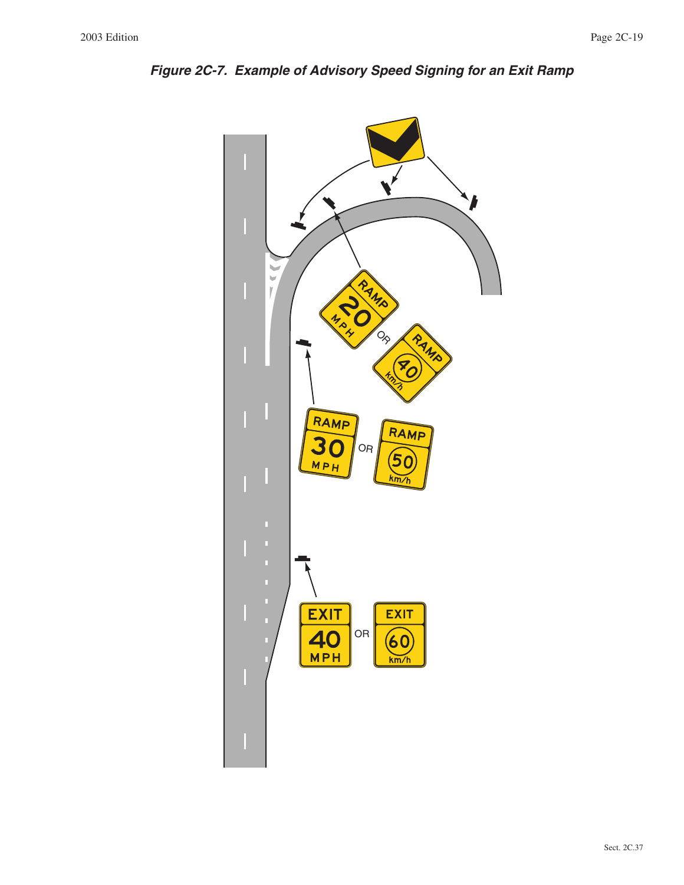

**Figure 2C-7. Example of Advisory Speed Signing for an Exit Ramp**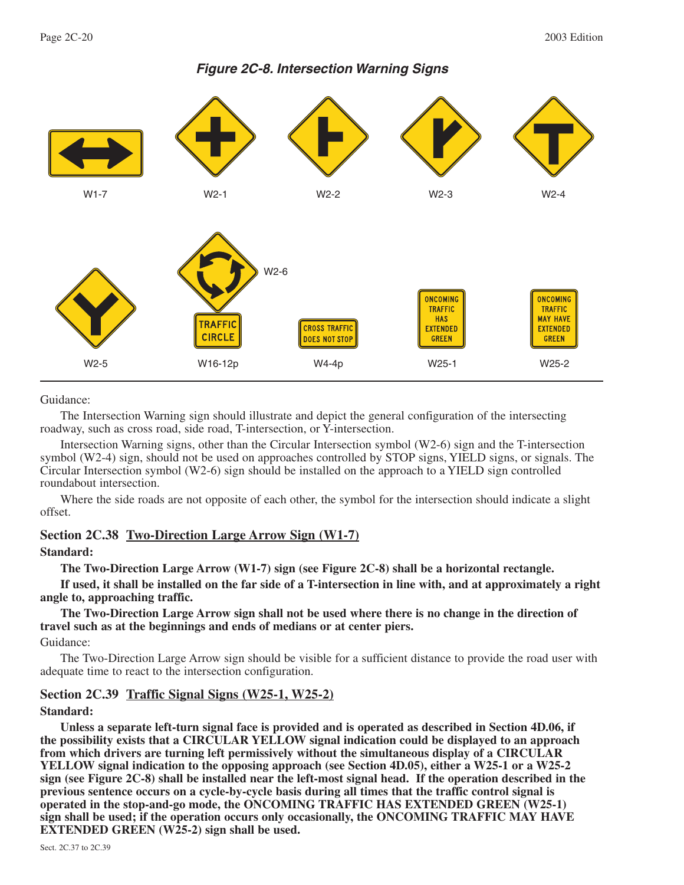

# **Figure 2C-8. Intersection Warning Signs**

Guidance:

The Intersection Warning sign should illustrate and depict the general configuration of the intersecting roadway, such as cross road, side road, T-intersection, or Y-intersection.

Intersection Warning signs, other than the Circular Intersection symbol (W2-6) sign and the T-intersection symbol (W2-4) sign, should not be used on approaches controlled by STOP signs, YIELD signs, or signals. The Circular Intersection symbol (W2-6) sign should be installed on the approach to a YIELD sign controlled roundabout intersection.

Where the side roads are not opposite of each other, the symbol for the intersection should indicate a slight offset.

# **Section 2C.38 Two-Direction Large Arrow Sign (W1-7)**

#### **Standard:**

**The Two-Direction Large Arrow (W1-7) sign (see Figure 2C-8) shall be a horizontal rectangle.**

**If used, it shall be installed on the far side of a T-intersection in line with, and at approximately a right angle to, approaching traffic.**

**The Two-Direction Large Arrow sign shall not be used where there is no change in the direction of travel such as at the beginnings and ends of medians or at center piers.**

Guidance:

The Two-Direction Large Arrow sign should be visible for a sufficient distance to provide the road user with adequate time to react to the intersection configuration.

# **Section 2C.39 Traffic Signal Signs (W25-1, W25-2)**

#### **Standard:**

**Unless a separate left-turn signal face is provided and is operated as described in Section 4D.06, if the possibility exists that a CIRCULAR YELLOW signal indication could be displayed to an approach from which drivers are turning left permissively without the simultaneous display of a CIRCULAR YELLOW signal indication to the opposing approach (see Section 4D.05), either a W25-1 or a W25-2 sign (see Figure 2C-8) shall be installed near the left-most signal head. If the operation described in the previous sentence occurs on a cycle-by-cycle basis during all times that the traffic control signal is operated in the stop-and-go mode, the ONCOMING TRAFFIC HAS EXTENDED GREEN (W25-1) sign shall be used; if the operation occurs only occasionally, the ONCOMING TRAFFIC MAY HAVE EXTENDED GREEN (W25-2) sign shall be used.**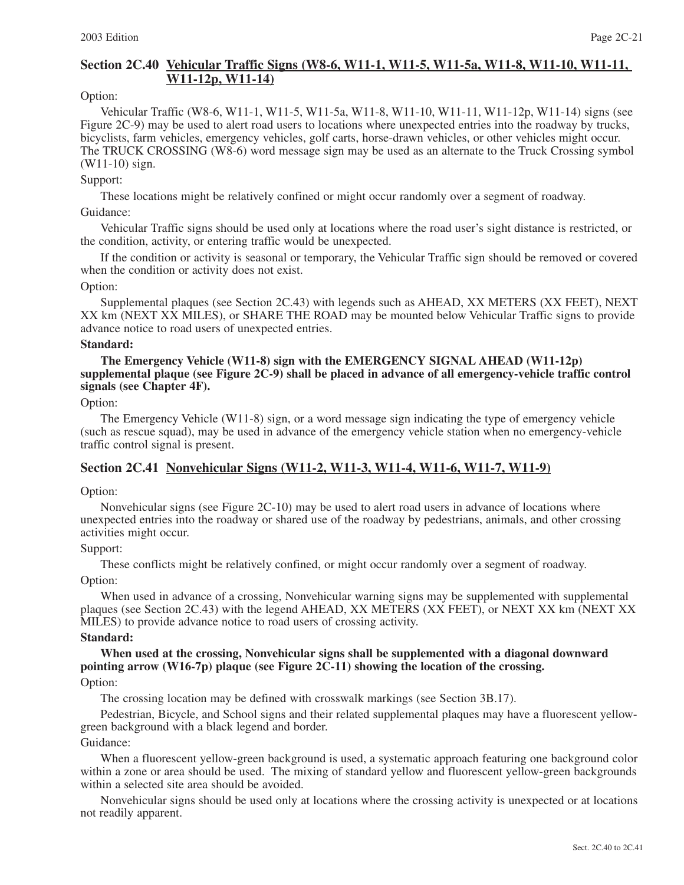# **Section 2C.40 Vehicular Traffic Signs (W8-6, W11-1, W11-5, W11-5a, W11-8, W11-10, W11-11, W11-12p, W11-14)**

#### Option:

Vehicular Traffic (W8-6, W11-1, W11-5, W11-5a, W11-8, W11-10, W11-11, W11-12p, W11-14) signs (see Figure 2C-9) may be used to alert road users to locations where unexpected entries into the roadway by trucks, bicyclists, farm vehicles, emergency vehicles, golf carts, horse-drawn vehicles, or other vehicles might occur. The TRUCK CROSSING (W8-6) word message sign may be used as an alternate to the Truck Crossing symbol (W11-10) sign.

#### Support:

These locations might be relatively confined or might occur randomly over a segment of roadway.

#### Guidance:

Vehicular Traffic signs should be used only at locations where the road user's sight distance is restricted, or the condition, activity, or entering traffic would be unexpected.

If the condition or activity is seasonal or temporary, the Vehicular Traffic sign should be removed or covered when the condition or activity does not exist.

#### Option:

Supplemental plaques (see Section 2C.43) with legends such as AHEAD, XX METERS (XX FEET), NEXT XX km (NEXT XX MILES), or SHARE THE ROAD may be mounted below Vehicular Traffic signs to provide advance notice to road users of unexpected entries.

#### **Standard:**

#### **The Emergency Vehicle (W11-8) sign with the EMERGENCY SIGNAL AHEAD (W11-12p) supplemental plaque (see Figure 2C-9) shall be placed in advance of all emergency-vehicle traffic control signals (see Chapter 4F).**

#### Option:

The Emergency Vehicle (W11-8) sign, or a word message sign indicating the type of emergency vehicle (such as rescue squad), may be used in advance of the emergency vehicle station when no emergency-vehicle traffic control signal is present.

# **Section 2C.41 Nonvehicular Signs (W11-2, W11-3, W11-4, W11-6, W11-7, W11-9)**

#### Option:

Nonvehicular signs (see Figure 2C-10) may be used to alert road users in advance of locations where unexpected entries into the roadway or shared use of the roadway by pedestrians, animals, and other crossing activities might occur.

#### Support:

These conflicts might be relatively confined, or might occur randomly over a segment of roadway.

#### Option:

When used in advance of a crossing, Nonvehicular warning signs may be supplemented with supplemental plaques (see Section 2C.43) with the legend AHEAD, XX METERS (XX FEET), or NEXT XX km (NEXT XX MILES) to provide advance notice to road users of crossing activity.

#### **Standard:**

**When used at the crossing, Nonvehicular signs shall be supplemented with a diagonal downward pointing arrow (W16-7p) plaque (see Figure 2C-11) showing the location of the crossing.** 

# Option:

The crossing location may be defined with crosswalk markings (see Section 3B.17).

Pedestrian, Bicycle, and School signs and their related supplemental plaques may have a fluorescent yellowgreen background with a black legend and border.

#### Guidance:

When a fluorescent yellow-green background is used, a systematic approach featuring one background color within a zone or area should be used. The mixing of standard yellow and fluorescent yellow-green backgrounds within a selected site area should be avoided.

Nonvehicular signs should be used only at locations where the crossing activity is unexpected or at locations not readily apparent.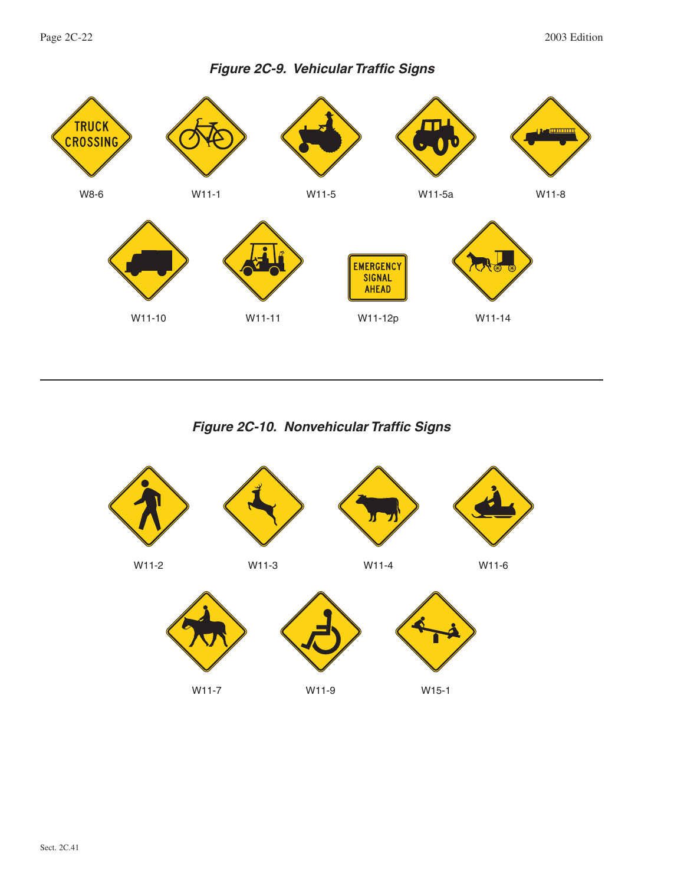

**Figure 2C-10. Nonvehicular Traffic Signs**

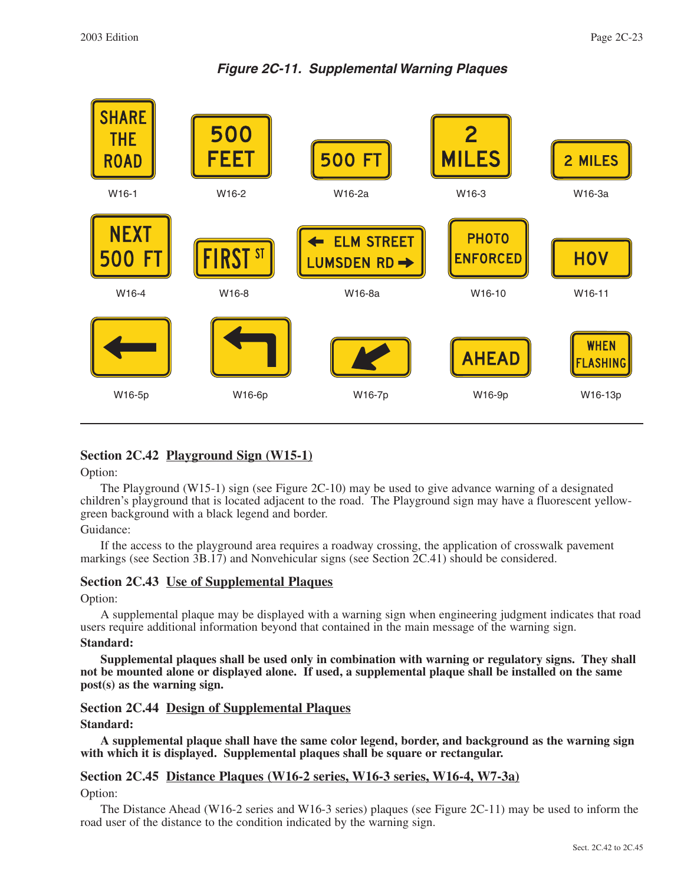**Figure 2C-11. Supplemental Warning Plaques**

| <b>SHARE</b><br><b>THE</b><br><b>ROAD</b><br>W16-1 | 500<br>FEET<br>W16-2 | <b>500 FT</b><br>W16-2a                            | $\mathbf{Z}$<br><b>MILES</b><br>W16-3     | 2 MILES<br>W16-3a                         |
|----------------------------------------------------|----------------------|----------------------------------------------------|-------------------------------------------|-------------------------------------------|
| <b>NEXT</b><br>-FT<br>500<br>W16-4                 | FIRST ST<br>W16-8    | <b>ELM STREET</b><br><b>LUMSDEN RD →</b><br>W16-8a | <b>PHOTO</b><br><b>ENFORCED</b><br>W16-10 | <b>HOV</b><br>W16-11                      |
| W16-5p                                             | W16-6p               | W16-7p                                             | <b>AHEAD</b><br>W16-9p                    | <b>WHEN</b><br><b>FLASHING</b><br>W16-13p |

# **Section 2C.42 Playground Sign (W15-1)**

Option:

The Playground (W15-1) sign (see Figure 2C-10) may be used to give advance warning of a designated children's playground that is located adjacent to the road. The Playground sign may have a fluorescent yellowgreen background with a black legend and border.

# Guidance:

If the access to the playground area requires a roadway crossing, the application of crosswalk pavement markings (see Section 3B.17) and Nonvehicular signs (see Section 2C.41) should be considered.

# **Section 2C.43 Use of Supplemental Plaques**

#### Option:

A supplemental plaque may be displayed with a warning sign when engineering judgment indicates that road users require additional information beyond that contained in the main message of the warning sign. **Standard:**

**Supplemental plaques shall be used only in combination with warning or regulatory signs. They shall not be mounted alone or displayed alone. If used, a supplemental plaque shall be installed on the same post(s) as the warning sign.**

# **Section 2C.44 Design of Supplemental Plaques**

#### **Standard:**

**A supplemental plaque shall have the same color legend, border, and background as the warning sign with which it is displayed. Supplemental plaques shall be square or rectangular.**

#### **Section 2C.45 Distance Plaques (W16-2 series, W16-3 series, W16-4, W7-3a)**

#### Option:

The Distance Ahead (W16-2 series and W16-3 series) plaques (see Figure 2C-11) may be used to inform the road user of the distance to the condition indicated by the warning sign.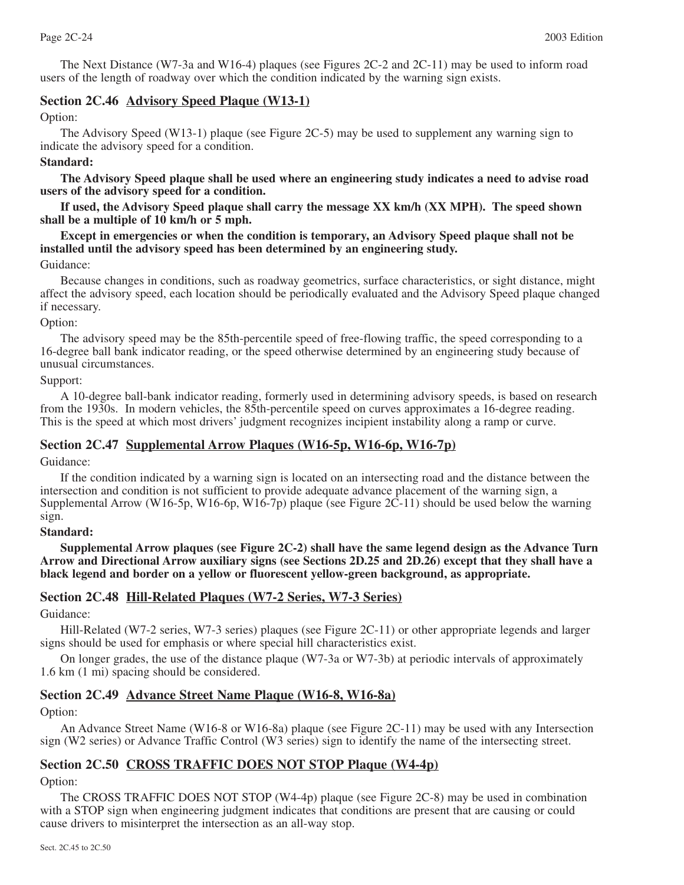The Next Distance (W7-3a and W16-4) plaques (see Figures 2C-2 and 2C-11) may be used to inform road users of the length of roadway over which the condition indicated by the warning sign exists.

# **Section 2C.46 Advisory Speed Plaque (W13-1)**

Option:

The Advisory Speed (W13-1) plaque (see Figure 2C-5) may be used to supplement any warning sign to indicate the advisory speed for a condition.

# **Standard:**

**The Advisory Speed plaque shall be used where an engineering study indicates a need to advise road users of the advisory speed for a condition.**

**If used, the Advisory Speed plaque shall carry the message XX km/h (XX MPH). The speed shown shall be a multiple of 10 km/h or 5 mph.**

**Except in emergencies or when the condition is temporary, an Advisory Speed plaque shall not be installed until the advisory speed has been determined by an engineering study.**

# Guidance:

Because changes in conditions, such as roadway geometrics, surface characteristics, or sight distance, might affect the advisory speed, each location should be periodically evaluated and the Advisory Speed plaque changed if necessary.

#### Option:

The advisory speed may be the 85th-percentile speed of free-flowing traffic, the speed corresponding to a 16-degree ball bank indicator reading, or the speed otherwise determined by an engineering study because of unusual circumstances.

Support:

A 10-degree ball-bank indicator reading, formerly used in determining advisory speeds, is based on research from the 1930s. In modern vehicles, the 85th-percentile speed on curves approximates a 16-degree reading. This is the speed at which most drivers' judgment recognizes incipient instability along a ramp or curve.

# **Section 2C.47 Supplemental Arrow Plaques (W16-5p, W16-6p, W16-7p)**

Guidance:

If the condition indicated by a warning sign is located on an intersecting road and the distance between the intersection and condition is not sufficient to provide adequate advance placement of the warning sign, a Supplemental Arrow (W16-5p, W16-6p, W16-7p) plaque (see Figure 2C-11) should be used below the warning sign.

#### **Standard:**

**Supplemental Arrow plaques (see Figure 2C-2) shall have the same legend design as the Advance Turn Arrow and Directional Arrow auxiliary signs (see Sections 2D.25 and 2D.26) except that they shall have a black legend and border on a yellow or fluorescent yellow-green background, as appropriate.**

# **Section 2C.48 Hill-Related Plaques (W7-2 Series, W7-3 Series)**

Guidance:

Hill-Related (W7-2 series, W7-3 series) plaques (see Figure 2C-11) or other appropriate legends and larger signs should be used for emphasis or where special hill characteristics exist.

On longer grades, the use of the distance plaque (W7-3a or W7-3b) at periodic intervals of approximately 1.6 km (1 mi) spacing should be considered.

# **Section 2C.49 Advance Street Name Plaque (W16-8, W16-8a)**

Option:

An Advance Street Name (W16-8 or W16-8a) plaque (see Figure 2C-11) may be used with any Intersection sign (W2 series) or Advance Traffic Control (W3 series) sign to identify the name of the intersecting street.

# **Section 2C.50 CROSS TRAFFIC DOES NOT STOP Plaque (W4-4p)**

Option:

The CROSS TRAFFIC DOES NOT STOP (W4-4p) plaque (see Figure 2C-8) may be used in combination with a STOP sign when engineering judgment indicates that conditions are present that are causing or could cause drivers to misinterpret the intersection as an all-way stop.